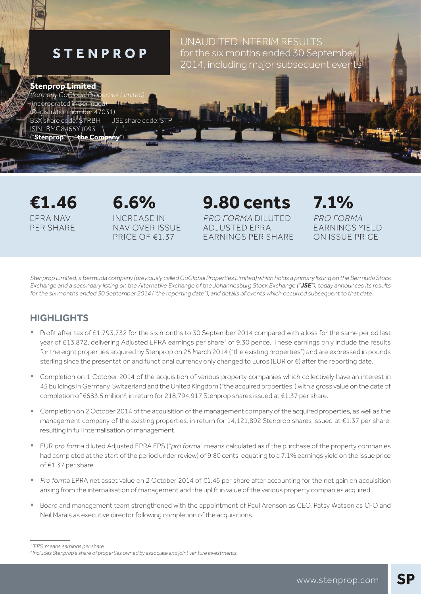# **STENPROP**

UNAUDITED INTERIM RESULTS for the six months ended 30 Septembe 2014, including major subsequent events

## **Stenprop Limited**

(formerly GoGlobal Pro Incorporated in Bermud tration number 47031) BSX share code: STP.BH JSE share code: STP ISIN: BMG8465Y1093 ("**Stenprop**" or "**the Company**")

EPRA NAV PER SHARE

INCREASE IN NAV OVER ISSUE PRICE OF €1.37

**€1.46 6.6% 9.80 cents 7.1%** PRO FORMA DILUTED ADJUSTED EPRA EARNINGS PER SHARE

PRO FORMA EARNINGS YIELD ON ISSUE PRICE

Stenprop Limited, a Bermuda company (previously called GoGlobal Properties Limited) which holds a primary listing on the Bermuda Stock Exchange and a secondary listing on the Alternative Exchange of the Johannesburg Stock Exchange ("**JSE**"), today announces its results for the six months ended 30 September 2014 ("the reporting date"), and details of events which occurred subsequent to that date.

## **HIGHLIGHTS**

- Profit after tax of £1,793,732 for the six months to 30 September 2014 compared with a loss for the same period last year of £13,872, delivering Adjusted EPRA earnings per share<sup>1</sup> of 9.30 pence. These earnings only include the results for the eight properties acquired by Stenprop on 25 March 2014 ("the existing properties") and are expressed in pounds sterling since the presentation and functional currency only changed to Euros (EUR or €) after the reporting date.
- Completion on 1 October 2014 of the acquisition of various property companies which collectively have an interest in 45 buildings in Germany, Switzerland and the United Kingdom ("the acquired properties") with a gross value on the date of completion of €683.5 million<sup>2</sup>, in return for 218,794,917 Stenprop shares issued at €1.37 per share.
- Completion on 2 October 2014 of the acquisition of the management company of the acquired properties, as well as the management company of the existing properties, in return for 14,121,892 Stenprop shares issued at €1.37 per share, resulting in full internalisation of management.
- EUR pro forma diluted Adjusted EPRA EPS ("pro forma" means calculated as if the purchase of the property companies had completed at the start of the period under review) of 9.80 cents, equating to a 7.1% earnings yield on the issue price of €1.37 per share.
- Pro forma EPRA net asset value on 2 October 2014 of €1.46 per share after accounting for the net gain on acquisition arising from the internalisation of management and the uplift in value of the various property companies acquired.
- Board and management team strengthened with the appointment of Paul Arenson as CEO, Patsy Watson as CFO and Neil Marais as executive director following completion of the acquisitions.

<sup>&</sup>lt;sup>1</sup>'EPS' means earnings per share.

<sup>&</sup>lt;sup>2</sup> Includes Stenprop's share of properties owned by associate and joint venture investments.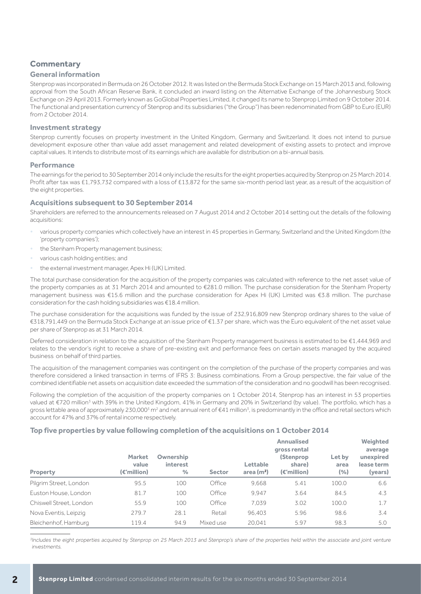## **Commentary**

### **General information**

Stenprop was incorporated in Bermuda on 26 October 2012. It was listed on the Bermuda Stock Exchange on 15 March 2013 and, following approval from the South African Reserve Bank, it concluded an inward listing on the Alternative Exchange of the Johannesburg Stock Exchange on 29 April 2013. Formerly known as GoGlobal Properties Limited, it changed its name to Stenprop Limited on 9 October 2014. The functional and presentation currency of Stenprop and its subsidiaries ("the Group") has been redenominated from GBP to Euro (EUR) from 2 October 2014.

#### **Investment strategy**

Stenprop currently focuses on property investment in the United Kingdom, Germany and Switzerland. It does not intend to pursue development exposure other than value add asset management and related development of existing assets to protect and improve capital values. It intends to distribute most of its earnings which are available for distribution on a bi-annual basis.

#### **Performance**

The earnings for the period to 30 September 2014 only include the results for the eight properties acquired by Stenprop on 25 March 2014. Profit after tax was £1,793,732 compared with a loss of £13,872 for the same six-month period last year, as a result of the acquisition of the eight properties.

#### **Acquisitions subsequent to 30 September 2014**

Shareholders are referred to the announcements released on 7 August 2014 and 2 October 2014 setting out the details of the following acquisitions:

- various property companies which collectively have an interest in 45 properties in Germany, Switzerland and the United Kingdom (the 'property companies');
- the Stenham Property management business;
- various cash holding entities; and
- the external investment manager, Apex Hi (UK) Limited.

The total purchase consideration for the acquisition of the property companies was calculated with reference to the net asset value of the property companies as at 31 March 2014 and amounted to €281.0 million. The purchase consideration for the Stenham Property management business was €15.6 million and the purchase consideration for Apex Hi (UK) Limited was €3.8 million. The purchase consideration for the cash holding subsidiaries was €18.4 million.

The purchase consideration for the acquisitions was funded by the issue of 232,916,809 new Stenprop ordinary shares to the value of €318,791,449 on the Bermuda Stock Exchange at an issue price of €1.37 per share, which was the Euro equivalent of the net asset value per share of Stenprop as at 31 March 2014.

Deferred consideration in relation to the acquisition of the Stenham Property management business is estimated to be €1,444,969 and relates to the vendor's right to receive a share of pre-existing exit and performance fees on certain assets managed by the acquired business on behalf of third parties.

The acquisition of the management companies was contingent on the completion of the purchase of the property companies and was therefore considered a linked transaction in terms of IFRS 3: Business combinations. From a Group perspective, the fair value of the combined identifiable net assets on acquisition date exceeded the summation of the consideration and no goodwill has been recognised.

Following the completion of the acquisition of the property companies on 1 October 2014, Stenprop has an interest in 53 properties valued at €720 million<sup>3</sup> with 39% in the United Kingdom, 41% in Germany and 20% in Switzerland (by value). The portfolio, which has a gross lettable area of approximately 230,000<sup>3</sup> m<sup>2</sup> and net annual rent of €41 million<sup>3</sup>, is predominantly in the office and retail sectors which account for 47% and 37% of rental income respectively.

### **Top five properties by value following completion of the acquisitions on 1 October 2014**

| Property                | <b>Market</b><br>value<br>$(\epsilon$ 'million) | <b>Ownership</b><br><i>interest</i><br>$\%$ | <b>Sector</b> | Lettable<br>area $(m2)$ | <b>Annualised</b><br>gross rental<br><b>(Stenprop</b><br>share)<br>(€'million) | Let by<br>area<br>(%) | Weighted<br>average<br>unexpired<br>lease term<br>(years) |
|-------------------------|-------------------------------------------------|---------------------------------------------|---------------|-------------------------|--------------------------------------------------------------------------------|-----------------------|-----------------------------------------------------------|
| Pilgrim Street, London  | 95.5                                            | 100                                         | Office        | 9.668                   | 5.41                                                                           | 100.0                 | 6.6                                                       |
| Euston House, London    | 81.7                                            | 100                                         | Office        | 9.947                   | 3.64                                                                           | 84.5                  | 4.3                                                       |
| Chiswell Street, London | 55.9                                            | 100                                         | Office        | 7.039                   | 3.02                                                                           | 100.0                 | 1.7                                                       |
| Nova Eventis, Leipzig   | 279.7                                           | 28.1                                        | Retail        | 96,403                  | 5.96                                                                           | 98.6                  | 3.4                                                       |
| Bleichenhof, Hamburg    | 119.4                                           | 94.9                                        | Mixed use     | 20,041                  | 5.97                                                                           | 98.3                  | 5.0                                                       |

<sup>3</sup>Includes the eight properties acquired by Stenprop on 25 March 2013 and Stenprop's share of the properties held within the associate and joint venture investments.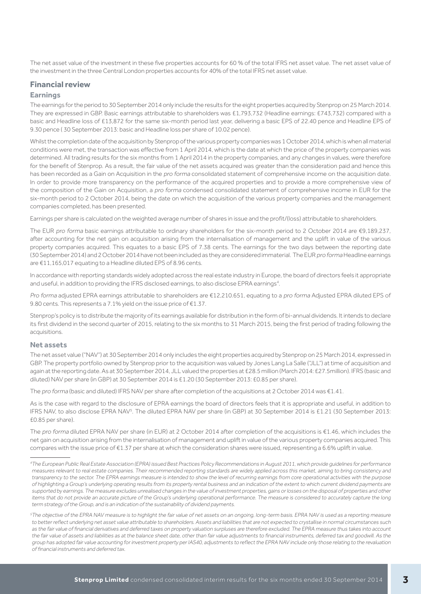The net asset value of the investment in these five properties accounts for 60 % of the total IFRS net asset value. The net asset value of the investment in the three Central London properties accounts for 40% of the total IFRS net asset value.

### **Financial review**

### **Earnings**

The earnings for the period to 30 September 2014 only include the results for the eight properties acquired by Stenprop on 25 March 2014. They are expressed in GBP. Basic earnings attributable to shareholders was £1,793,732 (Headline earnings: £743,732) compared with a basic and Headline loss of £13,872 for the same six-month period last year, delivering a basic EPS of 22.40 pence and Headline EPS of 9.30 pence ( 30 September 2013: basic and Headline loss per share of 10.02 pence).

Whilst the completion date of the acquisition by Stenprop of the various property companies was 1 October 2014, which is when all material conditions were met, the transaction was effective from 1 April 2014, which is the date at which the price of the property companies was determined. All trading results for the six months from 1 April 2014 in the property companies, and any changes in values, were therefore for the benefit of Stenprop. As a result, the fair value of the net assets acquired was greater than the consideration paid and hence this has been recorded as a Gain on Acquisition in the pro forma consolidated statement of comprehensive income on the acquisition date. In order to provide more transparency on the performance of the acquired properties and to provide a more comprehensive view of the composition of the Gain on Acquisition, a pro forma condensed consolidated statement of comprehensive income in EUR for the six-month period to 2 October 2014, being the date on which the acquisition of the various property companies and the management companies completed, has been presented.

Earnings per share is calculated on the weighted average number of shares in issue and the profit/(loss) attributable to shareholders.

The EUR pro forma basic earnings attributable to ordinary shareholders for the six-month period to 2 October 2014 are €9,189,237, after accounting for the net gain on acquisition arising from the internalisation of management and the uplift in value of the various property companies acquired. This equates to a basic EPS of 7.38 cents. The earnings for the two days between the reporting date (30 September 2014) and 2 October 2014 have not been included as they are considered immaterial. The EUR pro forma Headline earnings are €11,165,017 equating to a Headline diluted EPS of 8.96 cents.

In accordance with reporting standards widely adopted across the real estate industry in Europe, the board of directors feels it appropriate and useful, in addition to providing the IFRS disclosed earnings, to also disclose EPRA earnings<sup>4</sup>.

Pro forma adjusted EPRA earnings attributable to shareholders are €12,210.651, equating to a pro forma Adjusted EPRA diluted EPS of 9.80 cents. This represents a 7.1% yield on the issue price of €1.37.

Stenprop's policy is to distribute the majority of its earnings available for distribution in the form of bi-annual dividends. It intends to declare its first dividend in the second quarter of 2015, relating to the six months to 31 March 2015, being the first period of trading following the acquisitions.

#### **Net assets**

The net asset value ("NAV") at 30 September 2014 only includes the eight properties acquired by Stenprop on 25 March 2014, expressed in GBP. The property portfolio owned by Stenprop prior to the acquisition was valued by Jones Lang La Salle ("JLL") at time of acquisition and again at the reporting date. As at 30 September 2014, JLL valued the properties at £28.5 million (March 2014: £27.5million). IFRS (basic and diluted) NAV per share (in GBP) at 30 September 2014 is £1.20 (30 September 2013: £0.85 per share).

The pro forma (basic and diluted) IFRS NAV per share after completion of the acquisitions at 2 October 2014 was €1.41.

As is the case with regard to the disclosure of EPRA earnings the board of directors feels that it is appropriate and useful, in addition to IFRS NAV, to also disclose EPRA NAV<sup>5</sup>. The diluted EPRA NAV per share (in GBP) at 30 September 2014 is £1.21 (30 September 2013: £0.85 per share).

The pro forma diluted EPRA NAV per share (in EUR) at 2 October 2014 after completion of the acquisitions is €1.46, which includes the net gain on acquisition arising from the internalisation of management and uplift in value of the various property companies acquired. This compares with the issue price of €1.37 per share at which the consideration shares were issued, representing a 6.6% uplift in value.

<sup>4</sup>The European Public Real Estate Association (EPRA) issued Best Practices Policy Recommendations in August 2011, which provide guidelines for performance measures relevant to real estate companies. Their recommended reporting standards are widely applied across this market, aiming to bring consistency and transparency to the sector. The EPRA earnings measure is intended to show the level of recurring earnings from core operational activities with the purpose of highlighting a Group's underlying operating results from its property rental business and an indication of the extent to which current dividend payments are supported by earnings. The measure excludes unrealised changes in the value of investment properties, gains or losses on the disposal of properties and other items that do not provide an accurate picture of the Group's underlying operational performance. The measure is considered to accurately capture the long term strategy of the Group, and is an indication of the sustainability of dividend payments.

<sup>&</sup>lt;sup>5</sup>The objective of the EPRA NAV measure is to highlight the fair value of net assets on an ongoing, long-term basis. EPRA NAV is used as a reporting measure to better reflect underlying net asset value attributable to shareholders. Assets and liabilities that are not expected to crystallise in normal circumstances such as the fair value of financial derivatives and deferred taxes on property valuation surpluses are therefore excluded. The EPRA measure thus takes into account the fair value of assets and liabilities as at the balance sheet date, other than fair value adjustments to financial instruments, deferred tax and goodwill. As the group has adopted fair value accounting for investment property per IAS40, adjustments to reflect the EPRA NAV include only those relating to the revaluation of financial instruments and deferred tax.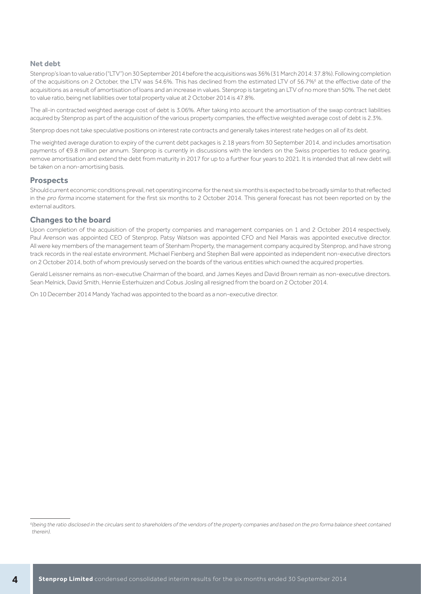#### **Net debt**

Stenprop's loan to value ratio ("LTV") on 30 September 2014 before the acquisitions was 36% (31 March 2014: 37.8%). Following completion of the acquisitions on 2 October, the LTV was 54.6%. This has declined from the estimated LTV of 56.7%<sup>6</sup> at the effective date of the acquisitions as a result of amortisation of loans and an increase in values. Stenprop is targeting an LTV of no more than 50%. The net debt to value ratio, being net liabilities over total property value at 2 October 2014 is 47.8%.

The all-in contracted weighted average cost of debt is 3.06%. After taking into account the amortisation of the swap contract liabilities acquired by Stenprop as part of the acquisition of the various property companies, the effective weighted average cost of debt is 2.3%.

Stenprop does not take speculative positions on interest rate contracts and generally takes interest rate hedges on all of its debt.

The weighted average duration to expiry of the current debt packages is 2.18 years from 30 September 2014, and includes amortisation payments of €9.8 million per annum. Stenprop is currently in discussions with the lenders on the Swiss properties to reduce gearing, remove amortisation and extend the debt from maturity in 2017 for up to a further four years to 2021. It is intended that all new debt will be taken on a non-amortising basis.

#### **Prospects**

Should current economic conditions prevail, net operating income for the next six months is expected to be broadly similar to that reflected in the pro forma income statement for the first six months to 2 October 2014. This general forecast has not been reported on by the external auditors.

#### **Changes to the board**

Upon completion of the acquisition of the property companies and management companies on 1 and 2 October 2014 respectively, Paul Arenson was appointed CEO of Stenprop, Patsy Watson was appointed CFO and Neil Marais was appointed executive director. All were key members of the management team of Stenham Property, the management company acquired by Stenprop, and have strong track records in the real estate environment. Michael Fienberg and Stephen Ball were appointed as independent non-executive directors on 2 October 2014, both of whom previously served on the boards of the various entities which owned the acquired properties.

Gerald Leissner remains as non-executive Chairman of the board, and James Keyes and David Brown remain as non-executive directors. Sean Melnick, David Smith, Hennie Esterhuizen and Cobus Josling all resigned from the board on 2 October 2014.

On 10 December 2014 Mandy Yachad was appointed to the board as a non-executive director.

<sup>&</sup>lt;sup>6</sup>(being the ratio disclosed in the circulars sent to shareholders of the vendors of the property companies and based on the pro forma balance sheet contained therein).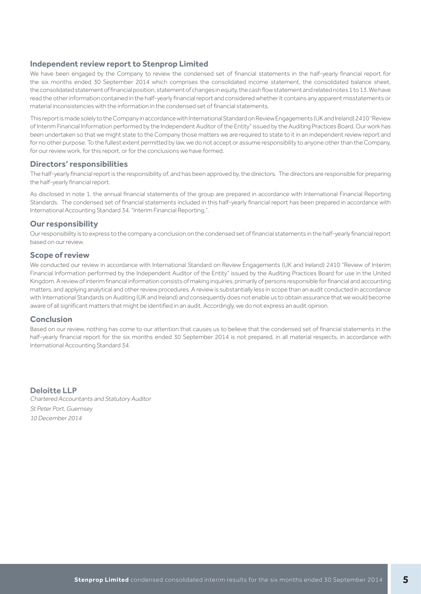## **Independent review report to Stenprop Limited**

We have been engaged by the Company to review the condensed set of financial statements in the half-yearly financial report for the six months ended 30 September 2014 which comprises the consolidated income statement, the consolidated balance sheet, the consolidated statement of financial position, statement of changes in equity, the cash flow statement and related notes 1 to 13. We have read the other information contained in the half-yearly financial report and considered whether it contains any apparent misstatements or material inconsistencies with the information in the condensed set of financial statements.

This report is made solely to the Company in accordance with International Standard on Review Engagements (UK and Ireland) 2410 "Review of Interim Financial Information performed by the Independent Auditor of the Entity" issued by the Auditing Practices Board. Our work has been undertaken so that we might state to the Company those matters we are required to state to it in an independent review report and for no other purpose. To the fullest extent permitted by law, we do not accept or assume responsibility to anyone other than the Company, for our review work, for this report, or for the conclusions we have formed.

#### **Directors' responsibilities**

The half-yearly financial report is the responsibility of, and has been approved by, the directors. The directors are responsible for preparing the half-yearly financial report.

As disclosed in note 1, the annual financial statements of the group are prepared in accordance with International Financial Reporting Standards. The condensed set of financial statements included in this half-yearly financial report has been prepared in accordance with International Accounting Standard 34, "Interim Financial Reporting,".

### **Our responsibility**

Our responsibility is to express to the company a conclusion on the condensed set of financial statements in the half-yearly financial report based on our review.

#### **Scope of review**

We conducted our review in accordance with International Standard on Review Engagements (UK and Ireland) 2410 "Review of Interim Financial Information performed by the Independent Auditor of the Entity" issued by the Auditing Practices Board for use in the United Kingdom. A review of interim financial information consists of making inquiries, primarily of persons responsible for financial and accounting matters, and applying analytical and other review procedures. A review is substantially less in scope than an audit conducted in accordance with International Standards on Auditing (UK and Ireland) and consequently does not enable us to obtain assurance that we would become aware of all significant matters that might be identified in an audit. Accordingly, we do not express an audit opinion.

### **Conclusion**

Based on our review, nothing has come to our attention that causes us to believe that the condensed set of financial statements in the half-yearly financial report for the six months ended 30 September 2014 is not prepared, in all material respects, in accordance with International Accounting Standard 34.

**Deloitte LLP** Chartered Accountants and Statutory Auditor St Peter Port, Guernsey 10 December 2014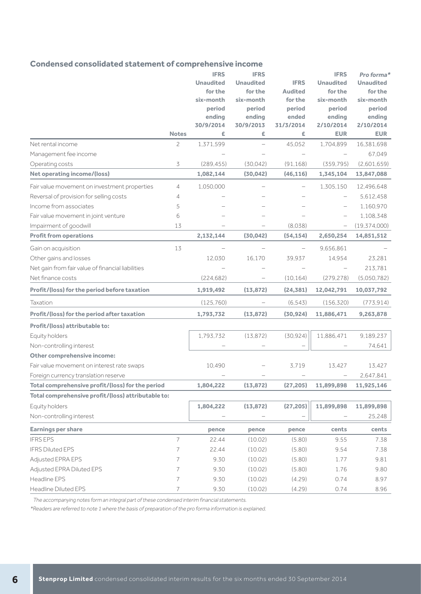## **Condensed consolidated statement of comprehensive income**

|                                                    |                | <b>IFRS</b>      | <b>IFRS</b>      |                | <b>IFRS</b>      | Pro forma*       |
|----------------------------------------------------|----------------|------------------|------------------|----------------|------------------|------------------|
|                                                    |                | <b>Unaudited</b> | <b>Unaudited</b> | <b>IFRS</b>    | <b>Unaudited</b> | <b>Unaudited</b> |
|                                                    |                | for the          | for the          | <b>Audited</b> | for the          | for the          |
|                                                    |                | six-month        | six-month        | for the        | six-month        | six-month        |
|                                                    |                | period           | period           | period         | period           | period           |
|                                                    |                | ending           | ending           | ended          | ending           | ending           |
|                                                    |                | 30/9/2014        | 30/9/2013        | 31/3/2014      | 2/10/2014        | 2/10/2014        |
|                                                    | <b>Notes</b>   | £                | £                | £              | <b>EUR</b>       | <b>EUR</b>       |
| Net rental income                                  | $\overline{c}$ | 1,371,599        |                  | 45,052         | 1,704,899        | 16,381,698       |
| Management fee income                              |                |                  |                  |                |                  | 67,049           |
| Operating costs                                    | 3              | (289, 455)       | (30,042)         | (91, 168)      | (359, 795)       | (2,601,659)      |
| <b>Net operating income/(loss)</b>                 |                | 1,082,144        | (30, 042)        | (46, 116)      | 1,345,104        | 13,847,088       |
| Fair value movement on investment properties       | $\overline{4}$ | 1,050,000        |                  |                | 1,305,150        | 12,496,648       |
| Reversal of provision for selling costs            | 4              |                  |                  |                |                  | 5,612,458        |
| Income from associates                             | 5              |                  |                  |                |                  | 1,160,970        |
| Fair value movement in joint venture               | 6              |                  |                  |                |                  | 1,108,348        |
| Impairment of goodwill                             | 13             |                  |                  | (8,038)        |                  | (19, 374, 000)   |
| <b>Profit from operations</b>                      |                | 2,132,144        | (30, 042)        | (54, 154)      | 2,650,254        | 14,851,512       |
| Gain on acquisition                                | 13             |                  |                  |                | 9,656,861        |                  |
| Other gains and losses                             |                | 12,030           | 16.170           | 39,937         | 14,954           | 23,281           |
| Net gain from fair value of financial liabilities  |                |                  |                  |                |                  | 213,781          |
| Net finance costs                                  |                | (224, 682)       |                  | (10, 164)      | (279, 278)       | (5,050,782)      |
| Profit/(loss) for the period before taxation       |                | 1,919,492        | (13, 872)        | (24, 381)      | 12,042,791       | 10,037,792       |
| Taxation                                           |                | (125, 760)       |                  | (6, 543)       | (156, 320)       | (773, 914)       |
| Profit/(loss) for the period after taxation        |                | 1,793,732        | (13, 872)        | (30, 924)      | 11,886,471       | 9,263,878        |
| Profit/(loss) attributable to:                     |                |                  |                  |                |                  |                  |
| Equity holders                                     |                | 1,793,732        | (13, 872)        | (30, 924)      | 11,886,471       | 9,189,237        |
| Non-controlling interest                           |                |                  |                  |                |                  | 74,641           |
| <b>Other comprehensive income:</b>                 |                |                  |                  |                |                  |                  |
| Fair value movement on interest rate swaps         |                | 10,490           |                  | 3,719          | 13,427           | 13,427           |
| Foreign currency translation reserve               |                |                  |                  |                |                  | 2,647,841        |
| Total comprehensive profit/(loss) for the period   |                | 1,804,222        | (13, 872)        | (27, 205)      | 11,899,898       | 11,925,146       |
| Total comprehensive profit/(loss) attributable to: |                |                  |                  |                |                  |                  |
| Equity holders                                     |                | 1,804,222        | (13, 872)        | (27, 205)      | 11,899,898       | 11,899,898       |
| Non-controlling interest                           |                |                  |                  |                |                  | 25,248           |
| <b>Earnings per share</b>                          |                | pence            | pence            | pence          | cents            | cents            |
| <b>IFRS EPS</b>                                    | $\overline{7}$ | 22.44            | (10.02)          | (5.80)         | 9.55             | 7.38             |
| <b>IFRS Diluted EPS</b>                            | 7              | 22.44            | (10.02)          | (5.80)         | 9.54             | 7.38             |
| Adjusted EPRA EPS                                  | 7              | 9.30             | (10.02)          | (5.80)         | 1.77             | 9.81             |
| Adjusted EPRA Diluted EPS                          | 7              | 9.30             | (10.02)          | (5.80)         | 1.76             | 9.80             |
| Headline EPS                                       | 7              | 9.30             | (10.02)          | (4.29)         | 0.74             | 8.97             |
| Headline Diluted EPS                               | $\overline{7}$ | 9.30             | (10.02)          | (4.29)         | 0.74             | 8.96             |

The accompanying notes form an integral part of these condensed interim financial statements.

\*Readers are referred to note 1 where the basis of preparation of the pro forma information is explained.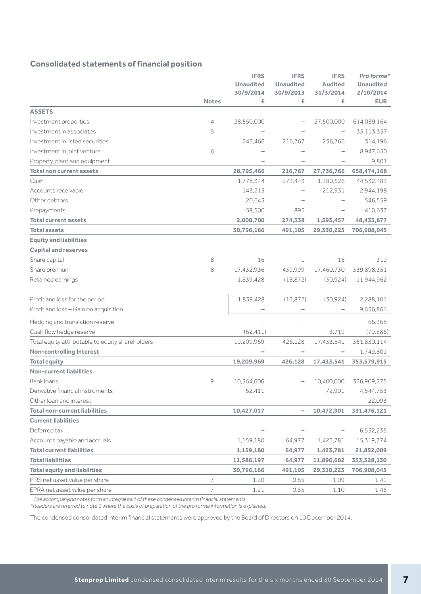## **Consolidated statements of financial position**

|                                                  |              | <b>IFRS</b><br><b>Unaudited</b> | <b>IFRS</b><br><b>Unaudited</b> | <b>IFRS</b><br><b>Audited</b> | Pro forma*<br><b>Unaudited</b> |
|--------------------------------------------------|--------------|---------------------------------|---------------------------------|-------------------------------|--------------------------------|
|                                                  | <b>Notes</b> | 30/9/2014<br>£                  | 30/9/2013<br>£                  | 31/3/2014<br>£                | 2/10/2014<br><b>EUR</b>        |
| <b>ASSETS</b>                                    |              |                                 |                                 |                               |                                |
| Investment properties                            | 4            | 28,550,000                      |                                 | 27,500,000                    | 614,089,164                    |
| Investment in associates                         | 5            |                                 |                                 |                               | 35,113,357                     |
| Investment in listed securities                  |              | 245,466                         | 216,767                         | 236,766                       | 314,196                        |
| Investment in joint venture                      | 6            |                                 |                                 |                               | 8,947,650                      |
| Property, plant and equipment                    |              |                                 |                                 |                               | 9.801                          |
| <b>Total non current assets</b>                  |              | 28,795,466                      | 216,767                         | 27,736,766                    | 658,474,168                    |
| Cash                                             |              | 1,778,344                       | 273,443                         | 1,380,526                     | 44,532,483                     |
| Accounts receivable                              |              | 143,213                         |                                 | 212,931                       | 2,944,198                      |
| Other debtors                                    |              | 20,643                          |                                 |                               | 546,559                        |
| Prepayments                                      |              | 58,500                          | 895                             |                               | 410,637                        |
| <b>Total current assets</b>                      |              | 2,000,700                       | 274,338                         | 1,593,457                     | 48,433,877                     |
| <b>Total assets</b>                              |              | 30,796,166                      | 491,105                         | 29,330,223                    | 706,908,045                    |
| <b>Equity and liabilities</b>                    |              |                                 |                                 |                               |                                |
| <b>Capital and reserves</b>                      |              |                                 |                                 |                               |                                |
| Share capital                                    | 8            | 16                              | 1                               | 16                            | 319                            |
| Share premium                                    | 8            | 17,432,936                      | 439,999                         | 17,460,730                    | 339,898,351                    |
| Retained earnings                                |              | 1,839,428                       | (13, 872)                       | (30, 924)                     | 11,944,962                     |
| Profit and loss for the period                   |              | 1,839,428                       | (13, 872)                       | (30, 924)                     | 2,288,101                      |
| Profit and loss - Gain on acquisition            |              |                                 |                                 |                               | 9,656,861                      |
| Hedging and translation reserve                  |              |                                 |                                 |                               | 66,368                         |
| Cash flow hedge reserve                          |              | (62, 411)                       | $\qquad \qquad -$               | 3.719                         | (79, 886)                      |
| Total equity attributable to equity shareholders |              | 19,209,969                      | 426,128                         | 17,433,541                    | 351,830,114                    |
| <b>Non-controlling Interest</b>                  |              |                                 |                                 |                               | 1,749,801                      |
| <b>Total equity</b>                              |              | 19,209,969                      | 426,128                         | 17,433,541                    | 353,579,915                    |
| <b>Non-current liabilities</b>                   |              |                                 |                                 |                               |                                |
| <b>Bank loans</b>                                | 9            | 10.364.606                      |                                 | 10,400,000                    | 326.909.275                    |
| Derivative financial instruments                 |              | 62,411                          |                                 | 72,901                        | 4,544,753                      |
| Other loan and interest                          |              |                                 |                                 |                               | 22,093                         |
| <b>Total non-current liabilities</b>             |              | 10,427,017                      | $\overline{\phantom{0}}$        | 10,472,901                    | 331,476,121                    |
| <b>Current liabilities</b>                       |              |                                 |                                 |                               |                                |
| Deferred tax                                     |              |                                 |                                 |                               | 6,532,235                      |
| Accounts payable and accruals                    |              | 1,159,180                       | 64,977                          | 1,423,781                     | 15,319,774                     |
| <b>Total current liabilities</b>                 |              | 1,159,180                       | 64,977                          | 1,423,781                     | 21,852,009                     |
| <b>Total liabilities</b>                         |              | 11,586,197                      | 64,977                          | 11,896,682                    | 353,328,130                    |
| <b>Total equity and liabilities</b>              |              | 30,796,166                      | 491,105                         | 29,330,223                    | 706,908,045                    |
| IFRS net asset value per share                   | 7            | 1.20                            | 0.85                            | 1.09                          | 1.41                           |
| EPRA net asset value per share                   | 7            | 1.21                            | 0.85                            | 1.10                          | 1.46                           |

The accompanying notes form an integral part of these condensed interim financial statements.

\*Readers are referred to note 1 where the basis of preparation of the pro forma information is explained.

The condensed consolidated interim financial statements were approved by the Board of Directors on 10 December 2014.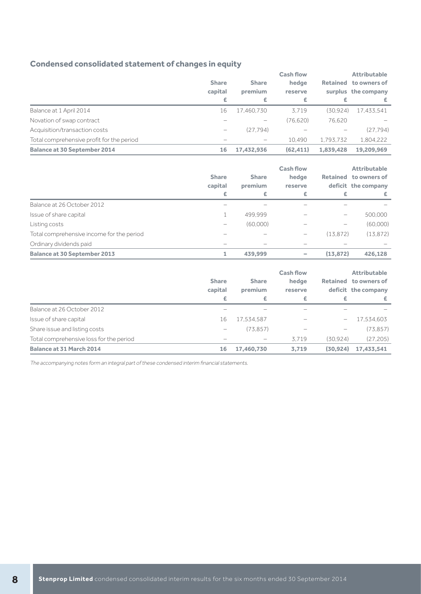## **Condensed consolidated statement of changes in equity**

|                                           |              |              | <b>Cash flow</b> |                 | <b>Attributable</b> |  |
|-------------------------------------------|--------------|--------------|------------------|-----------------|---------------------|--|
|                                           | <b>Share</b> | <b>Share</b> | hedge            | <b>Retained</b> | to owners of        |  |
|                                           | capital      | premium      | reserve          |                 | surplus the company |  |
|                                           | £            | £            | £                | £               | Æ.                  |  |
| Balance at 1 April 2014                   | 16           | 17,460,730   | 3.719            | (30.924)        | 17.433.541          |  |
| Novation of swap contract                 |              |              | (76.620)         | 76.620          |                     |  |
| Acquisition/transaction costs             | -            | (27.794)     |                  |                 | (27.794)            |  |
| Total comprehensive profit for the period |              |              | 10.490           | 1.793.732       | 1.804.222           |  |
| <b>Balance at 30 September 2014</b>       | 16           | 17,432,936   | (62, 411)        | 1,839,428       | 19.209.969          |  |

|                                           | <b>Share</b><br>capital<br>£ | <b>Share</b><br>premium<br>£ | <b>Cash flow</b><br>hedge<br>reserve<br>£ | £         | <b>Attributable</b><br>Retained to owners of<br>deficit the company<br>£ |
|-------------------------------------------|------------------------------|------------------------------|-------------------------------------------|-----------|--------------------------------------------------------------------------|
| Balance at 26 October 2012                |                              |                              |                                           |           |                                                                          |
| Issue of share capital                    |                              | 499.999                      |                                           |           | 500,000                                                                  |
| Listing costs                             | -                            | (60,000)                     |                                           | -         | (60,000)                                                                 |
| Total comprehensive income for the period |                              |                              | -                                         | (13.872)  | (13, 872)                                                                |
| Ordinary dividends paid                   |                              |                              |                                           |           |                                                                          |
| <b>Balance at 30 September 2013</b>       |                              | 439.999                      | -                                         | (13, 872) | 426.128                                                                  |

|                                         | <b>Share</b><br>capital<br>£          | <b>Share</b><br>premium<br>£ | <b>Cash flow</b><br>hedge<br>reserve<br>£ | £                        | <b>Attributable</b><br>Retained to owners of<br>deficit the company<br>£ |
|-----------------------------------------|---------------------------------------|------------------------------|-------------------------------------------|--------------------------|--------------------------------------------------------------------------|
| Balance at 26 October 2012              | -                                     |                              |                                           |                          |                                                                          |
| Issue of share capital                  | 16                                    | 17,534,587                   |                                           | $\overline{\phantom{0}}$ | 17,534,603                                                               |
| Share issue and listing costs           | $\hspace{1.0cm} \rule{1.5cm}{0.15cm}$ | (73.857)                     |                                           | -                        | (73, 857)                                                                |
| Total comprehensive loss for the period |                                       |                              | 3.719                                     | (30.924)                 | (27, 205)                                                                |
| <b>Balance at 31 March 2014</b>         | 16                                    | 17,460,730                   | 3,719                                     | (30, 924)                | 17,433,541                                                               |

The accompanying notes form an integral part of these condensed interim financial statements.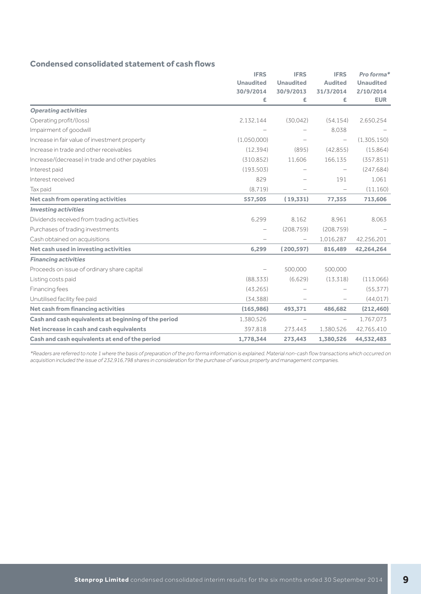## **Condensed consolidated statement of cash flows**

|                                                      | <b>IFRS</b>      | <b>IFRS</b>       | <b>IFRS</b>              | Pro forma*              |
|------------------------------------------------------|------------------|-------------------|--------------------------|-------------------------|
|                                                      | <b>Unaudited</b> | <b>Unaudited</b>  | <b>Audited</b>           | <b>Unaudited</b>        |
|                                                      | 30/9/2014<br>£   | 30/9/2013<br>£    | 31/3/2014<br>£           | 2/10/2014<br><b>EUR</b> |
| <b>Operating activities</b>                          |                  |                   |                          |                         |
| Operating profit/(loss)                              | 2,132,144        | (30.042)          | (54, 154)                | 2,650,254               |
| Impairment of goodwill                               |                  |                   | 8.038                    |                         |
| Increase in fair value of investment property        | (1,050,000)      |                   | $\overline{\phantom{0}}$ | (1,305,150)             |
| Increase in trade and other receivables              | (12, 394)        | (895)             | (42.855)                 | (15,864)                |
| Increase/(decrease) in trade and other payables      | (310.852)        | 11.606            | 166,135                  | (357, 851)              |
| Interest paid                                        | (193.503)        |                   |                          | (247, 684)              |
| Interest received                                    | 829              |                   | 191                      | 1,061                   |
| Tax paid                                             | (8.719)          |                   | $\overline{\phantom{0}}$ | (11, 160)               |
| Net cash from operating activities                   | 557,505          | (19,331)          | 77,355                   | 713,606                 |
| <b>Investing activities</b>                          |                  |                   |                          |                         |
| Dividends received from trading activities           | 6.299            | 8.162             | 8.961                    | 8.063                   |
| Purchases of trading investments                     |                  | (208, 759)        | (208, 759)               |                         |
| Cash obtained on acquisitions                        |                  | $\qquad \qquad -$ | 1,016,287                | 42,256,201              |
| Net cash used in investing activities                | 6,299            | (200, 597)        | 816,489                  | 42,264,264              |
| <b>Financing activities</b>                          |                  |                   |                          |                         |
| Proceeds on issue of ordinary share capital          |                  | 500.000           | 500,000                  |                         |
| Listing costs paid                                   | (88.333)         | (6,629)           | (13, 318)                | (113,066)               |
| Financing fees                                       | (43, 265)        |                   |                          | (55, 377)               |
| Unutilised facility fee paid                         | (34, 388)        |                   |                          | (44, 017)               |
| <b>Net cash from financing activities</b>            | (165, 986)       | 493,371           | 486,682                  | (212, 460)              |
| Cash and cash equivalents at beginning of the period | 1,380,526        |                   | $\overline{\phantom{0}}$ | 1,767,073               |
| Net increase in cash and cash equivalents            | 397,818          | 273.443           | 1,380,526                | 42,765,410              |
| Cash and cash equivalents at end of the period       | 1,778,344        | 273,443           | 1,380,526                | 44,532,483              |

\*Readers are referred to note 1 where the basis of preparation of the pro forma information is explained. Material non-cash flow transactions which occurred on acquisition included the issue of 232,916,798 shares in consideration for the purchase of various property and management companies.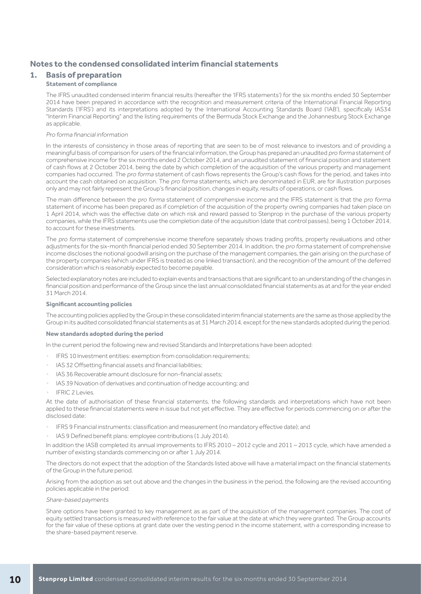## **Notes to the condensed consolidated interim financial statements**

## **1. Basis of preparation**

### **Statement of compliance**

The IFRS unaudited condensed interim financial results (hereafter the 'IFRS statements') for the six months ended 30 September 2014 have been prepared in accordance with the recognition and measurement criteria of the International Financial Reporting Standards ('IFRS') and its interpretations adopted by the International Accounting Standards Board ('IAB'), specifically IAS34 "Interim Financial Reporting" and the listing requirements of the Bermuda Stock Exchange and the Johannesburg Stock Exchange as applicable.

#### Pro forma financial information

In the interests of consistency in those areas of reporting that are seen to be of most relevance to investors and of providing a meaningful basis of comparison for users of the financial information, the Group has prepared an unaudited pro forma statement of comprehensive income for the six months ended 2 October 2014, and an unaudited statement of financial position and statement of cash flows at 2 October 2014, being the date by which completion of the acquisition of the various property and management companies had occurred. The pro forma statement of cash flows represents the Group's cash flows for the period, and takes into account the cash obtained on acquisition. The pro forma statements, which are denominated in EUR, are for illustration purposes only and may not fairly represent the Group's financial position, changes in equity, results of operations, or cash flows.

The main difference between the pro forma statement of comprehensive income and the IFRS statement is that the pro forma statement of income has been prepared as if completion of the acquisition of the property owning companies had taken place on 1 April 2014, which was the effective date on which risk and reward passed to Stenprop in the purchase of the various property companies, while the IFRS statements use the completion date of the acquisition (date that control passes), being 1 October 2014, to account for these investments.

The pro forma statement of comprehensive income therefore separately shows trading profits, property revaluations and other adjustments for the six-month financial period ended 30 September 2014. In addition, the pro forma statement of comprehensive income discloses the notional goodwill arising on the purchase of the management companies, the gain arising on the purchase of the property companies (which under IFRS is treated as one linked transaction), and the recognition of the amount of the deferred consideration which is reasonably expected to become payable.

Selected explanatory notes are included to explain events and transactions that are significant to an understanding of the changes in financial position and performance of the Group since the last annual consolidated financial statements as at and for the year ended 31 March 2014.

#### **Significant accounting policies**

The accounting policies applied by the Group in these consolidated interim financial statements are the same as those applied by the Group in its audited consolidated financial statements as at 31 March 2014, except for the new standards adopted during the period.

#### **New standards adopted during the period**

In the current period the following new and revised Standards and Interpretations have been adopted:

- IFRS 10 Investment entities: exemption from consolidation requirements;
- IAS 32 Offsetting financial assets and financial liabilities;
- IAS 36 Recoverable amount disclosure for non-financial assets;
- IAS 39 Novation of derivatives and continuation of hedge accounting; and
- IFRIC 2 Levies.

At the date of authorisation of these financial statements, the following standards and interpretations which have not been applied to these financial statements were in issue but not yet effective. They are effective for periods commencing on or after the disclosed date:

- IFRS 9 Financial instruments: classification and measurement (no mandatory effective date); and
- IAS 9 Defined benefit plans: employee contributions (1 July 2014).

In addition the IASB completed its annual improvements to IFRS 2010 – 2012 cycle and 2011 – 2013 cycle, which have amended a number of existing standards commencing on or after 1 July 2014.

The directors do not expect that the adoption of the Standards listed above will have a material impact on the financial statements of the Group in the future period.

Arising from the adoption as set out above and the changes in the business in the period, the following are the revised accounting policies applicable in the period:

#### Share-based payments

Share options have been granted to key management as as part of the acquisition of the management companies. The cost of equity settled transactions is measured with reference to the fair value at the date at which they were granted. The Group accounts for the fair value of these options at grant date over the vesting period in the income statement, with a corresponding increase to the share-based payment reserve.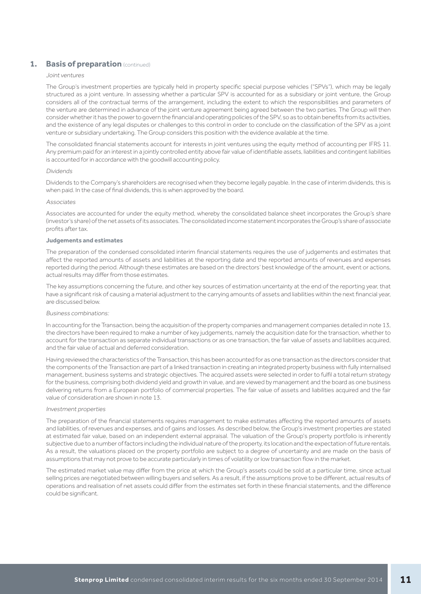## **1. Basis of preparation** (continued)

#### Joint ventures

The Group's investment properties are typically held in property specific special purpose vehicles ("SPVs"), which may be legally structured as a joint venture. In assessing whether a particular SPV is accounted for as a subsidiary or joint venture, the Group considers all of the contractual terms of the arrangement, including the extent to which the responsibilities and parameters of the venture are determined in advance of the joint venture agreement being agreed between the two parties. The Group will then consider whether it has the power to govern the financial and operating policies of the SPV, so as to obtain benefits from its activities, and the existence of any legal disputes or challenges to this control in order to conclude on the classification of the SPV as a joint venture or subsidiary undertaking. The Group considers this position with the evidence available at the time.

The consolidated financial statements account for interests in joint ventures using the equity method of accounting per IFRS 11. Any premium paid for an interest in a jointly controlled entity above fair value of identifiable assets, liabilities and contingent liabilities is accounted for in accordance with the goodwill accounting policy.

#### Dividends

Dividends to the Company's shareholders are recognised when they become legally payable. In the case of interim dividends, this is when paid. In the case of final dividends, this is when approved by the board.

#### Associates

Associates are accounted for under the equity method, whereby the consolidated balance sheet incorporates the Group's share (investor's share) of the net assets of its associates. The consolidated income statement incorporates the Group's share of associate profits after tax.

#### **Judgements and estimates**

The preparation of the condensed consolidated interim financial statements requires the use of judgements and estimates that affect the reported amounts of assets and liabilities at the reporting date and the reported amounts of revenues and expenses reported during the period. Although these estimates are based on the directors' best knowledge of the amount, event or actions, actual results may differ from those estimates.

The key assumptions concerning the future, and other key sources of estimation uncertainty at the end of the reporting year, that have a significant risk of causing a material adjustment to the carrying amounts of assets and liabilities within the next financial year, are discussed below.

#### Business combinations:

In accounting for the Transaction, being the acquisition of the property companies and management companies detailed in note 13, the directors have been required to make a number of key judgements, namely the acquisition date for the transaction, whether to account for the transaction as separate individual transactions or as one transaction, the fair value of assets and liabilities acquired, and the fair value of actual and deferred consideration.

Having reviewed the characteristics of the Transaction, this has been accounted for as one transaction as the directors consider that the components of the Transaction are part of a linked transaction in creating an integrated property business with fully internalised management, business systems and strategic objectives. The acquired assets were selected in order to fulfil a total return strategy for the business, comprising both dividend yield and growth in value, and are viewed by management and the board as one business delivering returns from a European portfolio of commercial properties. The fair value of assets and liabilities acquired and the fair value of consideration are shown in note 13.

#### Investment properties

The preparation of the financial statements requires management to make estimates affecting the reported amounts of assets and liabilities, of revenues and expenses, and of gains and losses. As described below, the Group's investment properties are stated at estimated fair value, based on an independent external appraisal. The valuation of the Group's property portfolio is inherently subjective due to a number of factors including the individual nature of the property, its location and the expectation of future rentals. As a result, the valuations placed on the property portfolio are subject to a degree of uncertainty and are made on the basis of assumptions that may not prove to be accurate particularly in times of volatility or low transaction flow in the market.

The estimated market value may differ from the price at which the Group's assets could be sold at a particular time, since actual selling prices are negotiated between willing buyers and sellers. As a result, if the assumptions prove to be different, actual results of operations and realisation of net assets could differ from the estimates set forth in these financial statements, and the difference could be significant.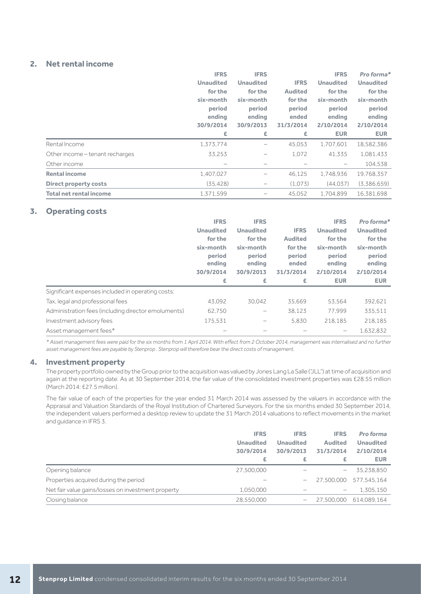## **2. Net rental income**

|                                 | <b>IFRS</b>      | <b>IFRS</b>      |                | <b>IFRS</b>      | Pro forma*       |
|---------------------------------|------------------|------------------|----------------|------------------|------------------|
|                                 | <b>Unaudited</b> | <b>Unaudited</b> | <b>IFRS</b>    | <b>Unaudited</b> | <b>Unaudited</b> |
|                                 | for the          | for the          | <b>Audited</b> | for the          | for the          |
|                                 | six-month        | six-month        | for the        | six-month        | six-month        |
|                                 | period           | period           | period         | period           | period           |
|                                 | ending           | ending           | ended          | ending           | ending           |
|                                 | 30/9/2014        | 30/9/2013        | 31/3/2014      | 2/10/2014        | 2/10/2014        |
|                                 | £                | £                | £              | <b>EUR</b>       | <b>EUR</b>       |
| Rental Income                   | 1,373,774        |                  | 45,053         | 1.707.601        | 18,582,386       |
| Other income - tenant recharges | 33,253           |                  | 1,072          | 41.335           | 1,081,433        |
| Other income                    |                  |                  |                |                  | 104,538          |
| <b>Rental income</b>            | 1,407,027        |                  | 46.125         | 1,748,936        | 19.768.357       |
| <b>Direct property costs</b>    | (35, 428)        | -                | (1.073)        | (44.037)         | (3.386.659)      |
| Total net rental income         | 1.371.599        |                  | 45.052         | 1.704.899        | 16.381.698       |

## **3. Operating costs**

|                                                     | <b>IFRS</b>                   | <b>IFRS</b>                   |                              | <b>IFRS</b>                   | Pro forma*                    |
|-----------------------------------------------------|-------------------------------|-------------------------------|------------------------------|-------------------------------|-------------------------------|
|                                                     | <b>Unaudited</b>              | <b>Unaudited</b>              | <b>IFRS</b>                  | <b>Unaudited</b>              | <b>Unaudited</b>              |
|                                                     | for the                       | for the                       | <b>Audited</b>               | for the                       | for the                       |
|                                                     | six-month                     | six-month                     | for the                      | six-month                     | six-month                     |
|                                                     | period<br>ending<br>30/9/2014 | period<br>ending<br>30/9/2013 | period<br>ended<br>31/3/2014 | period<br>ending<br>2/10/2014 | period<br>ending<br>2/10/2014 |
|                                                     |                               |                               |                              |                               |                               |
|                                                     | £                             | £                             | £                            | <b>EUR</b>                    | <b>EUR</b>                    |
| Significant expenses included in operating costs:   |                               |                               |                              |                               |                               |
| Tax, legal and professional fees                    | 43,092                        | 30.042                        | 35,669                       | 53,564                        | 392,621                       |
| Administration fees (including director emoluments) | 62,750                        |                               | 38.123                       | 77.999                        | 335,511                       |
| Investment advisory fees                            | 175,531                       |                               | 5.830                        | 218.185                       | 218,185                       |

\* Asset management fees were paid for the six months from 1 April 2014. With effect from 2 October 2014, management was internalised and no further asset management fees are payable by Stenprop . Stenprop will therefore bear the direct costs of management.

## **4. Investment property**

The property portfolio owned by the Group prior to the acquisition was valued by Jones Lang La Salle ("JLL") at time of acquisition and again at the reporting date. As at 30 September 2014, the fair value of the consolidated investment properties was £28.55 million (March 2014: £27.5 million).

The fair value of each of the properties for the year ended 31 March 2014 was assessed by the valuers in accordance with the Appraisal and Valuation Standards of the Royal Institution of Chartered Surveyors. For the six months ended 30 September 2014, the independent valuers performed a desktop review to update the 31 March 2014 valuations to reflect movements in the market and guidance in IFRS 3.

|                                                    | <b>IFRS</b>      | <b>IFRS</b>       | <b>IFRS</b>    | Pro forma        |
|----------------------------------------------------|------------------|-------------------|----------------|------------------|
|                                                    | <b>Unaudited</b> | <b>Unaudited</b>  | <b>Audited</b> | <b>Unaudited</b> |
|                                                    | 30/9/2014        | 30/9/2013         | 31/3/2014      | 2/10/2014        |
|                                                    | £                | £                 | £              | <b>EUR</b>       |
| Opening balance                                    | 27,500,000       |                   | -              | 35,238,850       |
| Properties acquired during the period              |                  |                   | 27.500.000     | 577.545.164      |
| Net fair value gains/losses on investment property | 1.050.000        |                   |                | 1.305.150        |
| Closing balance                                    | 28,550,000       | $\qquad \qquad -$ | 27.500.000     | 614.089.164      |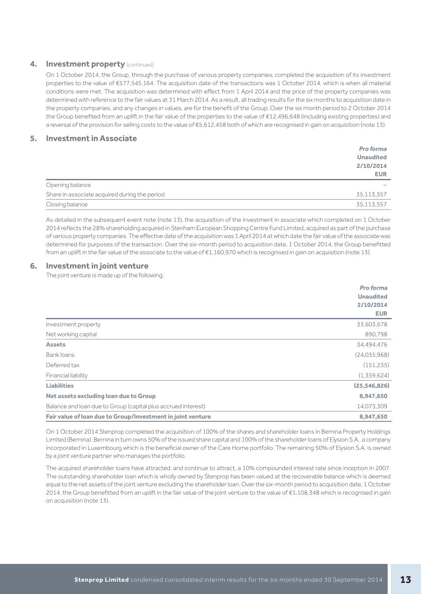#### **4. Investment property** (continued)

On 1 October 2014, the Group, through the purchase of various property companies, completed the acquisition of its investment properties to the value of €577,545,164. The acquisition date of the transactions was 1 October 2014, which is when all material conditions were met. The acquisition was determined with effect from 1 April 2014 and the price of the property companies was determined with reference to the fair values at 31 March 2014. As a result, all trading results for the six months to acquisition date in the property companies, and any changes in values, are for the benefit of the Group. Over the six month period to 2 October 2014 the Group benefited from an uplift in the fair value of the properties to the value of €12,496,648 (including existing properties) and a reversal of the provision for selling costs to the value of €5,612,458 both of which are recognised in gain on acquisition (note 13).

## **5. Investment in Associate**

|                                               | Pro forma        |
|-----------------------------------------------|------------------|
|                                               | <b>Unaudited</b> |
|                                               | 2/10/2014        |
|                                               | <b>EUR</b>       |
| Opening balance                               |                  |
| Share in associate acquired during the period | 35,113,357       |
| Closing balance                               | 35,113,357       |

As detailed in the subsequent event note (note 13), the acquisition of the investment in associate which completed on 1 October 2014 reflects the 28% shareholding acquired in Stenham European Shopping Centre Fund Limited, acquired as part of the purchase of various property companies. The effective date of the acquisition was 1 April 2014 at which date the fair value of the associate was determined for purposes of the transaction. Over the six-month period to acquisition date, 1 October 2014, the Group benefitted from an uplift in the fair value of the associate to the value of €1,160,970 which is recognised in gain on acquisition (note 13).

### **6. Investment in joint venture**

The joint venture is made up of the following:

|                                                               | Pro forma        |
|---------------------------------------------------------------|------------------|
|                                                               | <b>Unaudited</b> |
|                                                               | 2/10/2014        |
|                                                               | <b>EUR</b>       |
| Investment property                                           | 33,603,678       |
| Net working capital                                           | 890,798          |
| <b>Assets</b>                                                 | 34,494,476       |
| Bank loans                                                    | (24.035.968)     |
| Deferred tax                                                  | (151, 235)       |
| Financial liability                                           | (1,359,624)      |
| <b>Liabilities</b>                                            | (25, 546, 826)   |
| Net assets excluding loan due to Group                        | 8,947,650        |
| Balance and loan due to Group (capital plus accrued interest) | 14,073,309       |
| Fair value of loan due to Group/Investment in joint venture   | 8,947,650        |
|                                                               |                  |

On 1 October 2014 Stenprop completed the acquisition of 100% of the shares and shareholder loans in Bernina Property Holdings Limited (Bernina). Bernina in turn owns 50% of the issued share capital and 100% of the shareholder loans of Elysion S.A., a company incorporated in Luxembourg which is the beneficial owner of the Care Home portfolio. The remaining 50% of Elysion S.A. is owned by a joint venture partner who manages the portfolio.

The acquired shareholder loans have attracted, and continue to attract, a 10% compounded interest rate since inception in 2007. The outstanding shareholder loan which is wholly owned by Stenprop has been valued at the recoverable balance which is deemed equal to the net assets of the joint venture excluding the shareholder loan. Over the six-month period to acquisition date, 1 October 2014, the Group benefitted from an uplift in the fair value of the joint venture to the value of €1,108,348 which is recognised in gain on acquisition (note 13).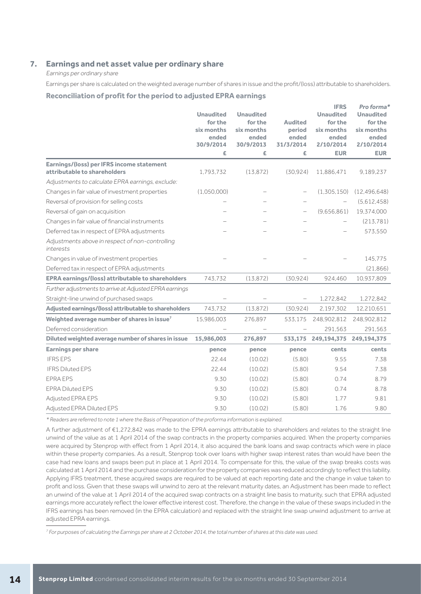## **7. Earnings and net asset value per ordinary share**

Earnings per ordinary share

Earnings per share is calculated on the weighted average number of shares in issue and the profit/(loss) attributable to shareholders.

### **Reconciliation of profit for the period to adjusted EPRA earnings**

|                                                                           | <b>Unaudited</b><br>for the<br>six months<br>ended<br>30/9/2014<br>£ | <b>Unaudited</b><br>for the<br>six months<br>ended<br>30/9/2013<br>£ | <b>Audited</b><br>period<br>ended<br>31/3/2014<br>£ | <b>IFRS</b><br><b>Unaudited</b><br>for the<br>six months<br>ended<br>2/10/2014<br><b>EUR</b> | Pro forma*<br><b>Unaudited</b><br>for the<br>six months<br>ended<br>2/10/2014<br><b>EUR</b> |
|---------------------------------------------------------------------------|----------------------------------------------------------------------|----------------------------------------------------------------------|-----------------------------------------------------|----------------------------------------------------------------------------------------------|---------------------------------------------------------------------------------------------|
| Earnings/(loss) per IFRS income statement<br>attributable to shareholders | 1,793,732                                                            | (13, 872)                                                            | (30, 924)                                           | 11,886,471                                                                                   | 9,189,237                                                                                   |
| Adjustments to calculate EPRA earnings, exclude:                          |                                                                      |                                                                      |                                                     |                                                                                              |                                                                                             |
| Changes in fair value of investment properties                            | (1,050,000)                                                          |                                                                      |                                                     | (1,305,150)                                                                                  | (12, 496, 648)                                                                              |
| Reversal of provision for selling costs                                   |                                                                      |                                                                      |                                                     |                                                                                              | (5,612,458)                                                                                 |
| Reversal of gain on acquisition                                           |                                                                      |                                                                      | $\overline{\phantom{a}}$                            | (9,656,861)                                                                                  | 19,374,000                                                                                  |
| Changes in fair value of financial instruments                            |                                                                      |                                                                      |                                                     |                                                                                              | (213, 781)                                                                                  |
| Deferred tax in respect of EPRA adjustments                               |                                                                      |                                                                      |                                                     |                                                                                              | 573,550                                                                                     |
| Adjustments above in respect of non-controlling<br>interests              |                                                                      |                                                                      |                                                     |                                                                                              |                                                                                             |
| Changes in value of investment properties                                 |                                                                      |                                                                      |                                                     |                                                                                              | 145,775                                                                                     |
| Deferred tax in respect of EPRA adjustments                               |                                                                      |                                                                      |                                                     |                                                                                              | (21,866)                                                                                    |
| <b>EPRA earnings/(loss) attributable to shareholders</b>                  | 743,732                                                              | (13, 872)                                                            | (30.924)                                            | 924.460                                                                                      | 10.937,809                                                                                  |
| Further adjustments to arrive at Adjusted EPRA earnings                   |                                                                      |                                                                      |                                                     |                                                                                              |                                                                                             |
| Straight-line unwind of purchased swaps                                   |                                                                      |                                                                      |                                                     | 1,272,842                                                                                    | 1,272,842                                                                                   |
| Adjusted earnings/(loss) attributable to shareholders                     | 743,732                                                              | (13, 872)                                                            | (30.924)                                            | 2.197.302                                                                                    | 12,210,651                                                                                  |
| Weighted average number of shares in issue <sup>7</sup>                   | 15,986,003                                                           | 276,897                                                              | 533,175                                             | 248,902,812                                                                                  | 248,902,812                                                                                 |
| Deferred consideration                                                    |                                                                      |                                                                      |                                                     | 291,563                                                                                      | 291,563                                                                                     |
| Diluted weighted average number of shares in issue                        | 15,986,003                                                           | 276,897                                                              | 533,175                                             | 249,194,375                                                                                  | 249,194,375                                                                                 |
| <b>Earnings per share</b>                                                 | pence                                                                | pence                                                                | pence                                               | cents                                                                                        | cents                                                                                       |
| <b>IFRS EPS</b>                                                           | 22.44                                                                | (10.02)                                                              | (5.80)                                              | 9.55                                                                                         | 7.38                                                                                        |
| <b>IFRS Diluted EPS</b>                                                   | 22.44                                                                | (10.02)                                                              | (5.80)                                              | 9.54                                                                                         | 7.38                                                                                        |
| <b>EPRA EPS</b>                                                           | 9.30                                                                 | (10.02)                                                              | (5.80)                                              | 0.74                                                                                         | 8.79                                                                                        |
| <b>EPRA Diluted EPS</b>                                                   | 9.30                                                                 | (10.02)                                                              | (5.80)                                              | 0.74                                                                                         | 8.78                                                                                        |
| Adjusted EPRA EPS                                                         | 9.30                                                                 | (10.02)                                                              | (5.80)                                              | 1.77                                                                                         | 9.81                                                                                        |
| Adjusted EPRA Diluted EPS                                                 | 9.30                                                                 | (10.02)                                                              | (5.80)                                              | 1.76                                                                                         | 9.80                                                                                        |

\* Readers are referred to note 1 where the Basis of Preparation of the proforma information is explained.

A further adjustment of €1,272,842 was made to the EPRA earnings attributable to shareholders and relates to the straight line unwind of the value as at 1 April 2014 of the swap contracts in the property companies acquired. When the property companies were acquired by Stenprop with effect from 1 April 2014, it also acquired the bank loans and swap contracts which were in place within these property companies. As a result, Stenprop took over loans with higher swap interest rates than would have been the case had new loans and swaps been put in place at 1 April 2014. To compensate for this, the value of the swap breaks costs was calculated at 1 April 2014 and the purchase consideration for the property companies was reduced accordingly to reflect this liability. Applying IFRS treatment, these acquired swaps are required to be valued at each reporting date and the change in value taken to profit and loss. Given that these swaps will unwind to zero at the relevant maturity dates, an Adjustment has been made to reflect an unwind of the value at 1 April 2014 of the acquired swap contracts on a straight line basis to maturity, such that EPRA adjusted earnings more accurately reflect the lower effective interest cost. Therefore, the change in the value of these swaps included in the IFRS earnings has been removed (in the EPRA calculation) and replaced with the straight line swap unwind adjustment to arrive at adjusted EPRA earnings.

7 For purposes of calculating the Earnings per share at 2 October 2014, the total number of shares at this date was used.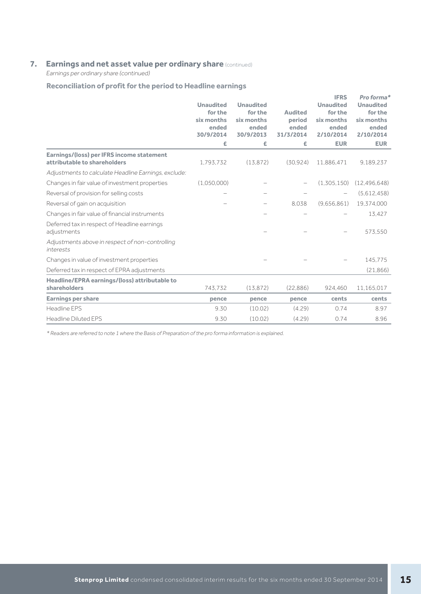## **7. Earnings and net asset value per ordinary share** (continued)

Earnings per ordinary share (continued)

## **Reconciliation of profit for the period to Headline earnings**

|                                                                           | <b>Unaudited</b><br>for the<br>six months<br>ended<br>30/9/2014<br>£ | <b>Unaudited</b><br>for the<br>six months<br>ended<br>30/9/2013<br>£ | <b>Audited</b><br>period<br>ended<br>31/3/2014<br>£ | <b>IFRS</b><br><b>Unaudited</b><br>for the<br>six months<br>ended<br>2/10/2014<br><b>EUR</b> | Pro forma*<br><b>Unaudited</b><br>for the<br>six months<br>ended<br>2/10/2014<br><b>EUR</b> |
|---------------------------------------------------------------------------|----------------------------------------------------------------------|----------------------------------------------------------------------|-----------------------------------------------------|----------------------------------------------------------------------------------------------|---------------------------------------------------------------------------------------------|
| Earnings/(loss) per IFRS income statement<br>attributable to shareholders | 1,793,732                                                            | (13, 872)                                                            | (30.924)                                            | 11,886,471                                                                                   | 9,189,237                                                                                   |
| Adjustments to calculate Headline Earnings, exclude:                      |                                                                      |                                                                      |                                                     |                                                                                              |                                                                                             |
| Changes in fair value of investment properties                            | (1,050,000)                                                          |                                                                      |                                                     | (1,305,150)                                                                                  | (12, 496, 648)                                                                              |
| Reversal of provision for selling costs                                   |                                                                      |                                                                      |                                                     |                                                                                              | (5,612,458)                                                                                 |
| Reversal of gain on acquisition                                           |                                                                      |                                                                      | 8.038                                               | (9,656,861)                                                                                  | 19,374,000                                                                                  |
| Changes in fair value of financial instruments                            |                                                                      |                                                                      |                                                     |                                                                                              | 13.427                                                                                      |
| Deferred tax in respect of Headline earnings<br>adjustments               |                                                                      |                                                                      |                                                     |                                                                                              | 573,550                                                                                     |
| Adjustments above in respect of non-controlling<br>interests              |                                                                      |                                                                      |                                                     |                                                                                              |                                                                                             |
| Changes in value of investment properties                                 |                                                                      |                                                                      |                                                     |                                                                                              | 145,775                                                                                     |
| Deferred tax in respect of EPRA adjustments                               |                                                                      |                                                                      |                                                     |                                                                                              | (21,866)                                                                                    |
| Headline/EPRA earnings/(loss) attributable to<br>shareholders             | 743.732                                                              | (13, 872)                                                            | (22,886)                                            | 924,460                                                                                      | 11,165,017                                                                                  |
| <b>Earnings per share</b>                                                 | pence                                                                | pence                                                                | pence                                               | cents                                                                                        | cents                                                                                       |
| Headline EPS                                                              | 9.30                                                                 | (10.02)                                                              | (4.29)                                              | 0.74                                                                                         | 8.97                                                                                        |
| <b>Headline Diluted EPS</b>                                               | 9.30                                                                 | (10.02)                                                              | (4.29)                                              | 0.74                                                                                         | 8.96                                                                                        |

\* Readers are referred to note 1 where the Basis of Preparation of the pro forma information is explained.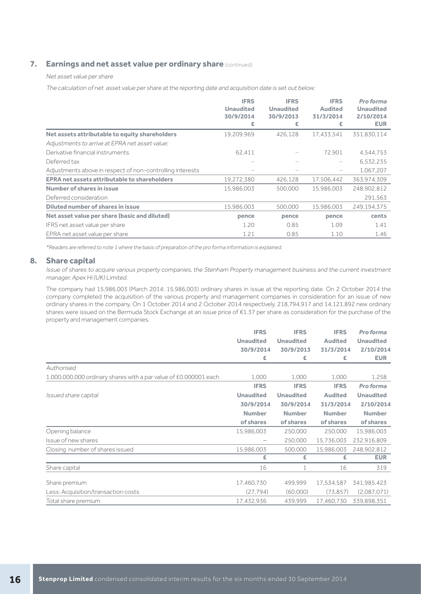## **7. Earnings and net asset value per ordinary share** (continued)

#### Net asset value per share

The calculation of net asset value per share at the reporting date and acquisition date is set out below:

|                                                           | <b>IFRS</b><br><b>Unaudited</b><br>30/9/2014<br>£ | <b>IFRS</b><br><b>Unaudited</b><br>30/9/2013<br>£ | <b>IFRS</b><br><b>Audited</b><br>31/3/2014<br>£ | Pro forma<br><b>Unaudited</b><br>2/10/2014<br><b>EUR</b> |
|-----------------------------------------------------------|---------------------------------------------------|---------------------------------------------------|-------------------------------------------------|----------------------------------------------------------|
| Net assets attributable to equity shareholders            | 19,209,969                                        | 426,128                                           | 17.433.541                                      | 351,830,114                                              |
| Adjustments to arrive at EPRA net asset value:            |                                                   |                                                   |                                                 |                                                          |
| Derivative financial instruments                          | 62,411                                            |                                                   | 72.901                                          | 4,544,753                                                |
| Deferred tax                                              |                                                   |                                                   |                                                 | 6,532,235                                                |
| Adjustments above in respect of non-controlling interests |                                                   |                                                   |                                                 | 1,067,207                                                |
| <b>EPRA net assets attributable to shareholders</b>       | 19,272,380                                        | 426,128                                           | 17,506,442                                      | 363,974,309                                              |
| Number of shares in issue                                 | 15,986,003                                        | 500.000                                           | 15.986.003                                      | 248,902,812                                              |
| Deferred consideration                                    |                                                   |                                                   |                                                 | 291.563                                                  |
| Diluted number of shares in issue                         | 15,986,003                                        | 500.000                                           | 15.986.003                                      | 249.194.375                                              |
| Net asset value per share (basic and diluted)             | pence                                             | pence                                             | pence                                           | cents                                                    |
| IFRS net asset value per share                            | 1.20                                              | 0.85                                              | 1.09                                            | 1.41                                                     |
| EPRA net asset value per share                            | 1.21                                              | 0.85                                              | 1.10                                            | 1.46                                                     |

\*Readers are referred to note 1 where the basis of preparation of the pro forma information is explained.

### **8. Share capital**

Issue of shares to acquire various property companies, the Stenham Property management business and the current investment manager, Apex Hi (UK) Limited.

The company had 15,986,003 (March 2014: 15,986,003) ordinary shares in issue at the reporting date. On 2 October 2014 the company completed the acquisition of the various property and management companies in consideration for an issue of new ordinary shares in the company. On 1 October 2014 and 2 October 2014 respectively, 218,794,917 and 14,121,892 new ordinary shares were issued on the Bermuda Stock Exchange at an issue price of €1.37 per share as consideration for the purchase of the property and management companies.

|                                                                  | <b>IFRS</b>      | <b>IFRS</b>      | <b>IFRS</b>    | Pro forma        |
|------------------------------------------------------------------|------------------|------------------|----------------|------------------|
|                                                                  | <b>Unaudited</b> | <b>Unaudited</b> | <b>Audited</b> | <b>Unaudited</b> |
|                                                                  | 30/9/2014        | 30/9/2013        | 31/3/2014      | 2/10/2014        |
|                                                                  | £                | £                | £              | <b>EUR</b>       |
| Authorised                                                       |                  |                  |                |                  |
| 1,000,000,000 ordinary shares with a par value of £0.000001 each | 1,000            | 1,000            | 1,000          | 1,258            |
|                                                                  | <b>IFRS</b>      | <b>IFRS</b>      | <b>IFRS</b>    | Pro forma        |
| Issued share capital                                             | <b>Unaudited</b> | <b>Unaudited</b> | <b>Audited</b> | <b>Unaudited</b> |
|                                                                  | 30/9/2014        | 30/9/2014        | 31/3/2014      | 2/10/2014        |
|                                                                  | <b>Number</b>    | <b>Number</b>    | <b>Number</b>  | <b>Number</b>    |
|                                                                  | of shares        | of shares        | of shares      | of shares        |
| Opening balance                                                  | 15,986,003       | 250,000          | 250,000        | 15,986,003       |
| Issue of new shares                                              |                  | 250.000          | 15,736,003     | 232,916,809      |
| Closing number of shares issued                                  | 15,986,003       | 500,000          | 15,986,003     | 248,902,812      |
|                                                                  | £                | £                | £              | <b>EUR</b>       |
| Share capital                                                    | 16               |                  | 16             | 319              |
| Share premium                                                    | 17,460,730       | 499,999          | 17,534,587     | 341,985,423      |
| Less: Acquisition/transaction costs                              | (27, 794)        | (60,000)         | (73, 857)      | (2.087.071)      |
| Total share premium                                              | 17,432,936       | 439,999          | 17,460,730     | 339,898,351      |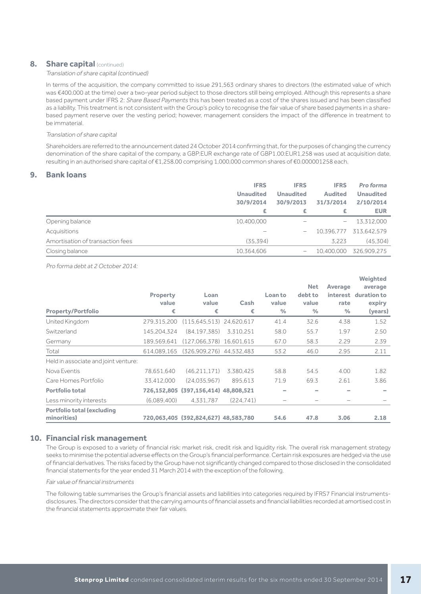### **8.** Share capital (continued)

#### Translation of share capital (continued)

In terms of the acquisition, the company committed to issue 291,563 ordinary shares to directors (the estimated value of which was €400,000 at the time) over a two-year period subject to those directors still being employed. Although this represents a share based payment under IFRS 2: Share Based Payments this has been treated as a cost of the shares issued and has been classified as a liability. This treatment is not consistent with the Group's policy to recognise the fair value of share based payments in a sharebased payment reserve over the vesting period; however, management considers the impact of the difference in treatment to be immaterial.

#### Translation of share capital

Shareholders are referred to the announcement dated 24 October 2014 confirming that, for the purposes of changing the currency denomination of the share capital of the company, a GBP:EUR exchange rate of GBP1.00:EUR1,258 was used at acquisition date, resulting in an authorised share capital of €1,258.00 comprising 1,000,000 common shares of €0.000001258 each.

## **9. Bank loans**

|                                  | <b>IFRS</b>      | <b>IFRS</b>      | <b>IFRS</b>              | Pro forma        |
|----------------------------------|------------------|------------------|--------------------------|------------------|
|                                  | <b>Unaudited</b> | <b>Unaudited</b> | <b>Audited</b>           | <b>Unaudited</b> |
|                                  | 30/9/2014        | 30/9/2013        | 31/3/2014                | 2/10/2014        |
|                                  | £                | £                | £                        | <b>EUR</b>       |
| Opening balance                  | 10,400,000       |                  | $\overline{\phantom{m}}$ | 13,312,000       |
| Acquisitions                     |                  | -                | 10.396.777               | 313.642.579      |
| Amortisation of transaction fees | (35, 394)        |                  | 3.223                    | (45, 304)        |
| Closing balance                  | 10,364,606       |                  | 10,400,000               | 326.909.275      |

Pro forma debt at 2 October 2014:

|                                      |                 |                                      |            |                          |               |                 | Weighted    |
|--------------------------------------|-----------------|--------------------------------------|------------|--------------------------|---------------|-----------------|-------------|
|                                      |                 |                                      |            |                          | <b>Net</b>    | Average         | average     |
|                                      | <b>Property</b> | Loan                                 |            | Loan to                  | debt to       | <i>interest</i> | duration to |
|                                      | value           | value                                | Cash       | value                    | value         | rate            | expiry      |
| <b>Property/Portfolio</b>            | €               | €                                    | €          | $\frac{0}{0}$            | $\frac{0}{0}$ | $\frac{9}{6}$   | (years)     |
| United Kingdom                       | 279,315,200     | (115.645.513)                        | 24,620,617 | 41.4                     | 32.6          | 4.38            | 1.52        |
| Switzerland                          | 145.204.324     | (84.197.385)                         | 3.310.251  | 58.0                     | 55.7          | 1.97            | 2.50        |
| Germany                              | 189,569,641     | (127.066.378)                        | 16,601,615 | 67.0                     | 58.3          | 2.29            | 2.39        |
| Total                                | 614.089.165     | (326,909,276) 44,532,483             |            | 53.2                     | 46.0          | 2.95            | 2.11        |
| Held in associate and joint venture: |                 |                                      |            |                          |               |                 |             |
| Nova Eventis                         | 78,651,640      | (46, 211, 171)                       | 3,380,425  | 58.8                     | 54.5          | 4.00            | 1.82        |
| Care Homes Portfolio                 | 33,412,000      | (24.035.967)                         | 895.613    | 71.9                     | 69.3          | 2.61            | 3.86        |
| <b>Portfolio total</b>               | 726,152,805     | $(397, 156, 414)$ 48,808,521         |            |                          |               |                 |             |
| Less minority interests              | (6.089.400)     | 4,331,787                            | (224.741)  | $\overline{\phantom{0}}$ |               |                 |             |
| <b>Portfolio total (excluding</b>    |                 |                                      |            |                          |               |                 |             |
| minorities)                          |                 | 720,063,405 (392,824,627) 48,583,780 |            | 54.6                     | 47.8          | 3.06            | 2.18        |

### **10. Financial risk management**

The Group is exposed to a variety of financial risk: market risk, credit risk and liquidity risk. The overall risk management strategy seeks to minimise the potential adverse effects on the Group's financial performance. Certain risk exposures are hedged via the use of financial derivatives. The risks faced by the Group have not significantly changed compared to those disclosed in the consolidated financial statements for the year ended 31 March 2014 with the exception of the following.

Fair value of financial instruments

The following table summarises the Group's financial assets and liabilities into categories required by IFRS7 Financial instrumentsdisclosures. The directors consider that the carrying amounts of financial assets and financial liabilities recorded at amortised cost in the financial statements approximate their fair values.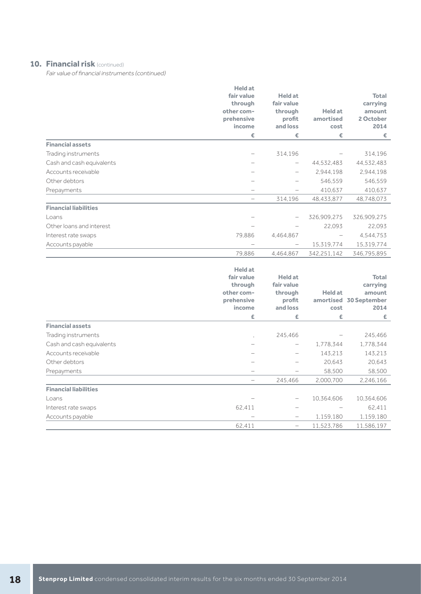## **10. Financial risk** (continued)

Fair value of financial instruments (continued)

|                              | <b>Held at</b><br>fair value<br>through<br>other com-<br>prehensive<br>income<br>€ | <b>Held</b> at<br>fair value<br>through<br>profit<br>and loss<br>€ | <b>Held at</b><br>amortised<br>cost<br>€ | <b>Total</b><br>carrying<br>amount<br>2 October<br>2014<br>€ |
|------------------------------|------------------------------------------------------------------------------------|--------------------------------------------------------------------|------------------------------------------|--------------------------------------------------------------|
| <b>Financial assets</b>      |                                                                                    |                                                                    |                                          |                                                              |
| Trading instruments          |                                                                                    | 314,196                                                            |                                          | 314,196                                                      |
| Cash and cash equivalents    |                                                                                    | -                                                                  | 44,532,483                               | 44,532,483                                                   |
| Accounts receivable          |                                                                                    |                                                                    | 2,944,198                                | 2,944,198                                                    |
| Other debtors                |                                                                                    |                                                                    | 546,559                                  | 546,559                                                      |
| Prepayments                  |                                                                                    |                                                                    | 410,637                                  | 410,637                                                      |
|                              |                                                                                    | 314,196                                                            | 48,433,877                               | 48,748,073                                                   |
| <b>Financial liabilities</b> |                                                                                    |                                                                    |                                          |                                                              |
| Loans                        |                                                                                    |                                                                    | 326,909,275                              | 326,909,275                                                  |
| Other loans and interest     |                                                                                    |                                                                    | 22,093                                   | 22,093                                                       |
| Interest rate swaps          | 79,886                                                                             | 4,464,867                                                          |                                          | 4,544,753                                                    |
| Accounts payable             |                                                                                    | -                                                                  | 15,319,774                               | 15,319,774                                                   |
|                              | 79,886                                                                             | 4,464,867                                                          | 342,251,142                              | 346,795,895                                                  |
|                              |                                                                                    |                                                                    |                                          |                                                              |

|                              | <b>Held at</b><br>fair value<br>through<br>other com-<br>prehensive<br>income | <b>Held at</b><br>fair value<br>through<br>profit<br>and loss | <b>Held at</b><br>cost | <b>Total</b><br>carrying<br>amount<br>amortised 30 September<br>2014 |
|------------------------------|-------------------------------------------------------------------------------|---------------------------------------------------------------|------------------------|----------------------------------------------------------------------|
|                              | £                                                                             | £                                                             | £                      | £                                                                    |
| <b>Financial assets</b>      |                                                                               |                                                               |                        |                                                                      |
| Trading instruments          |                                                                               | 245,466                                                       |                        | 245,466                                                              |
| Cash and cash equivalents    |                                                                               | -                                                             | 1,778,344              | 1,778,344                                                            |
| Accounts receivable          |                                                                               |                                                               | 143,213                | 143,213                                                              |
| Other debtors                |                                                                               |                                                               | 20,643                 | 20,643                                                               |
| Prepayments                  |                                                                               |                                                               | 58,500                 | 58,500                                                               |
|                              |                                                                               | 245,466                                                       | 2,000,700              | 2,246,166                                                            |
| <b>Financial liabilities</b> |                                                                               |                                                               |                        |                                                                      |
| Loans                        |                                                                               | -                                                             | 10,364,606             | 10,364,606                                                           |
| Interest rate swaps          | 62,411                                                                        |                                                               |                        | 62,411                                                               |
| Accounts payable             |                                                                               | -                                                             | 1,159,180              | 1,159,180                                                            |
|                              | 62,411                                                                        | -                                                             | 11,523,786             | 11,586,197                                                           |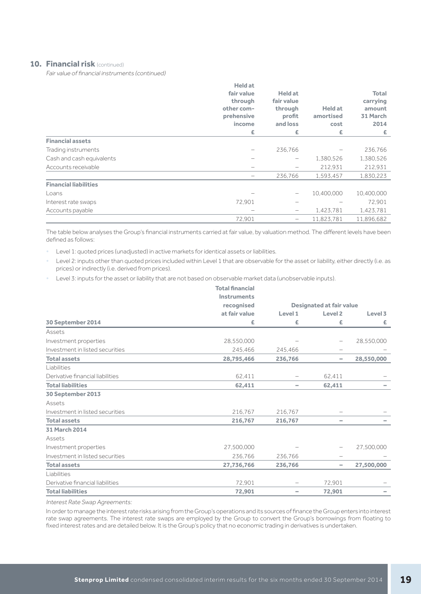## **10. Financial risk** (continued)

Fair value of financial instruments (continued)

|                              | <b>Held at</b><br>fair value<br>through<br>other com-<br>prehensive<br>income<br>£ | <b>Held at</b><br>fair value<br>through<br>profit<br>and loss<br>£ | <b>Held at</b><br>amortised<br>cost<br>£ | <b>Total</b><br>carrying<br>amount<br>31 March<br>2014<br>£. |
|------------------------------|------------------------------------------------------------------------------------|--------------------------------------------------------------------|------------------------------------------|--------------------------------------------------------------|
| <b>Financial assets</b>      |                                                                                    |                                                                    |                                          |                                                              |
| Trading instruments          |                                                                                    | 236,766                                                            |                                          | 236,766                                                      |
| Cash and cash equivalents    |                                                                                    |                                                                    | 1,380,526                                | 1,380,526                                                    |
| Accounts receivable          |                                                                                    |                                                                    | 212,931                                  | 212,931                                                      |
|                              |                                                                                    | 236,766                                                            | 1,593,457                                | 1,830,223                                                    |
| <b>Financial liabilities</b> |                                                                                    |                                                                    |                                          |                                                              |
| Loans                        |                                                                                    |                                                                    | 10,400,000                               | 10,400,000                                                   |
| Interest rate swaps          | 72,901                                                                             |                                                                    |                                          | 72,901                                                       |
| Accounts payable             |                                                                                    | $\qquad \qquad$                                                    | 1,423,781                                | 1,423,781                                                    |
|                              | 72.901                                                                             | -                                                                  | 11,823,781                               | 11,896,682                                                   |

The table below analyses the Group's financial instruments carried at fair value, by valuation method. The different levels have been defined as follows:

• Level 1: quoted prices (unadjusted) in active markets for identical assets or liabilities.

• Level 2: inputs other than quoted prices included within Level 1 that are observable for the asset or liability, either directly (i.e. as prices) or indirectly (i.e. derived from prices).

• Level 3: inputs for the asset or liability that are not based on observable market data (unobservable inputs).

|                                  | <b>Total financial</b> |                                 |                    |            |  |
|----------------------------------|------------------------|---------------------------------|--------------------|------------|--|
|                                  | <b>Instruments</b>     |                                 |                    |            |  |
|                                  | recognised             | <b>Designated at fair value</b> |                    |            |  |
|                                  | at fair value          | Level 1                         | Level <sub>2</sub> | Level 3    |  |
| 30 September 2014                | £                      | £                               | £                  | £.         |  |
| Assets                           |                        |                                 |                    |            |  |
| Investment properties            | 28,550,000             |                                 |                    | 28,550,000 |  |
| Investment in listed securities  | 245.466                | 245.466                         |                    |            |  |
| <b>Total assets</b>              | 28,795,466             | 236,766                         | -                  | 28,550,000 |  |
| Liabilities                      |                        |                                 |                    |            |  |
| Derivative financial liabilities | 62.411                 |                                 | 62.411             |            |  |
| <b>Total liabilities</b>         | 62,411                 | $\hspace{0.1mm}-\hspace{0.1mm}$ | 62,411             |            |  |
| 30 September 2013                |                        |                                 |                    |            |  |
| Assets                           |                        |                                 |                    |            |  |
| Investment in listed securities  | 216,767                | 216,767                         |                    |            |  |
| <b>Total assets</b>              | 216,767                | 216,767                         | -                  |            |  |
| 31 March 2014                    |                        |                                 |                    |            |  |
| Assets                           |                        |                                 |                    |            |  |
| Investment properties            | 27,500,000             |                                 |                    | 27,500,000 |  |
| Investment in listed securities  | 236,766                | 236,766                         | -                  |            |  |
| <b>Total assets</b>              | 27,736,766             | 236,766                         | -                  | 27,500,000 |  |
| Liabilities                      |                        |                                 |                    |            |  |
| Derivative financial liabilities | 72.901                 |                                 | 72.901             |            |  |
| <b>Total liabilities</b>         | 72,901                 | $\sim$                          | 72,901             |            |  |
|                                  |                        |                                 |                    |            |  |

Interest Rate Swap Agreements:

In order to manage the interest rate risks arising from the Group's operations and its sources of finance the Group enters into interest rate swap agreements. The interest rate swaps are employed by the Group to convert the Group's borrowings from floating to fixed interest rates and are detailed below. It is the Group's policy that no economic trading in derivatives is undertaken.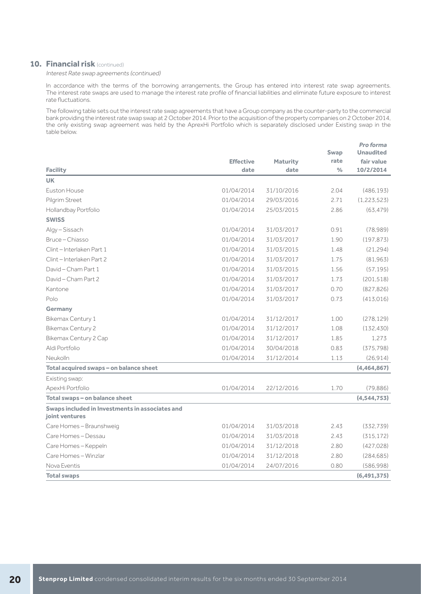## **10. Financial risk** (continued)

Interest Rate swap agreements (continued)

In accordance with the terms of the borrowing arrangements, the Group has entered into interest rate swap agreements. The interest rate swaps are used to manage the interest rate profile of financial liabilities and eliminate future exposure to interest rate fluctuations.

The following table sets out the interest rate swap agreements that have a Group company as the counter-party to the commercial bank providing the interest rate swap swap at 2 October 2014. Prior to the acquisition of the property companies on 2 October 2014, the only existing swap agreement was held by the AprexHi Portfolio which is separately disclosed under Existing swap in the table below.

|                                                                   |                  |                 | Swap          | Pro forma<br><b>Unaudited</b> |
|-------------------------------------------------------------------|------------------|-----------------|---------------|-------------------------------|
|                                                                   | <b>Effective</b> | <b>Maturity</b> | rate          | fair value                    |
| <b>Facility</b>                                                   | date             | date            | $\frac{0}{0}$ | 10/2/2014                     |
| <b>UK</b>                                                         |                  |                 |               |                               |
| Euston House                                                      | 01/04/2014       | 31/10/2016      | 2.04          | (486.193)                     |
| Pilgrim Street                                                    | 01/04/2014       | 29/03/2016      | 2.71          | (1, 223, 523)                 |
| Hollandbay Portfolio                                              | 01/04/2014       | 25/03/2015      | 286           | (63, 479)                     |
| <b>SWISS</b>                                                      |                  |                 |               |                               |
| Algy-Sissach                                                      | 01/04/2014       | 31/03/2017      | 0.91          | (78,989)                      |
| Bruce – Chiasso                                                   | 01/04/2014       | 31/03/2017      | 1.90          | (197, 873)                    |
| Clint - Interlaken Part 1                                         | 01/04/2014       | 31/03/2015      | 1.48          | (21, 294)                     |
| Clint-Interlaken Part 2                                           | 01/04/2014       | 31/03/2017      | 1.75          | (81,963)                      |
| David - Cham Part. 1                                              | 01/04/2014       | 31/03/2015      | 1.56          | (57.195)                      |
| David - Cham Part 2                                               | 01/04/2014       | 31/03/2017      | 1.73          | (201, 518)                    |
| Kantone                                                           | 01/04/2014       | 31/03/2017      | 0.70          | (827.826)                     |
| Polo                                                              | 01/04/2014       | 31/03/2017      | 0.73          | (413,016)                     |
| Germany                                                           |                  |                 |               |                               |
| Bikemax Century 1                                                 | 01/04/2014       | 31/12/2017      | 1.00          | (278, 129)                    |
| <b>Bikemax Century 2</b>                                          | 01/04/2014       | 31/12/2017      | 1.08          | (132, 430)                    |
| Bikemax Century 2 Cap                                             | 01/04/2014       | 31/12/2017      | 1.85          | 1,273                         |
| Aldi Portfolio                                                    | 01/04/2014       | 30/04/2018      | 0.83          | (375, 798)                    |
| Neukolln                                                          | 01/04/2014       | 31/12/2014      | 1.13          | (26, 914)                     |
| Total acquired swaps - on balance sheet                           |                  |                 |               | (4,464,867)                   |
| Existing swap:                                                    |                  |                 |               |                               |
| ApexHi Portfolio                                                  | 01/04/2014       | 22/12/2016      | 1.70          | (79, 886)                     |
| Total swaps - on balance sheet                                    |                  |                 |               | (4, 544, 753)                 |
| Swaps included in Investments in associates and<br>joint ventures |                  |                 |               |                               |
| Care Homes-Braunshweig                                            | 01/04/2014       | 31/03/2018      | 2.43          | (332,739)                     |
| Care Homes - Dessau                                               | 01/04/2014       | 31/03/2018      | 2.43          | (315, 172)                    |
| Care Homes-Keppeln                                                | 01/04/2014       | 31/12/2018      | 2.80          | (427, 028)                    |
| Care Homes - Winzlar                                              | 01/04/2014       | 31/12/2018      | 2.80          | (284, 685)                    |
| Nova Eventis                                                      | 01/04/2014       | 24/07/2016      | 0.80          | (586.998)                     |
| <b>Total swaps</b>                                                |                  |                 |               | (6,491,375)                   |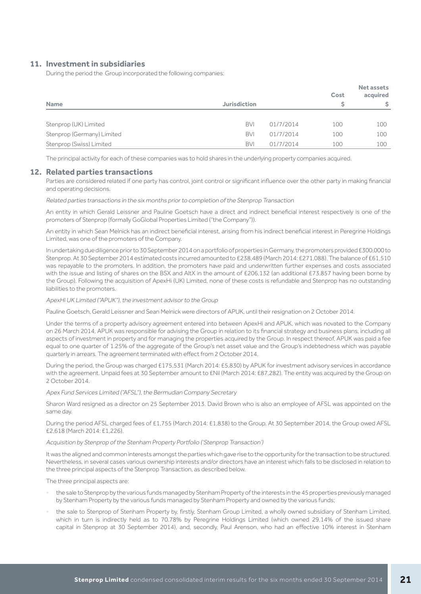### **11. Investment in subsidiaries**

During the period the Group incorporated the following companies:

| <b>Name</b>                | <b>Jurisdiction</b> |           | Cost<br>S | <b>Net assets</b><br>acquired<br>\$. |
|----------------------------|---------------------|-----------|-----------|--------------------------------------|
| Stenprop (UK) Limited      | <b>BVI</b>          | 01/7/2014 | 100       | 100                                  |
| Stenprop (Germany) Limited | <b>BVI</b>          | 01/7/2014 | 100       | 100                                  |
| Stenprop (Swiss) Limited   | <b>BVI</b>          | 01/7/2014 | 100       | 100                                  |

The principal activity for each of these companies was to hold shares in the underlying property companies acquired.

#### **12. Related parties transactions**

Parties are considered related if one party has control, joint control or significant influence over the other party in making financial and operating decisions.

Related parties transactions in the six months prior to completion of the Stenprop Transaction

An entity in which Gerald Leissner and Pauline Goetsch have a direct and indirect beneficial interest respectively is one of the promoters of Stenprop (formally GoGlobal Properties Limited ("the Company")).

An entity in which Sean Melnick has an indirect beneficial interest, arising from his indirect beneficial interest in Peregrine Holdings Limited, was one of the promoters of the Company.

In undertaking due diligence prior to 30 September 2014 on a portfolio of properties in Germany, the promoters provided £300,000 to Stenprop. At 30 September 2014 estimated costs incurred amounted to £238,489 (March 2014: £271,088). The balance of £61,510 was repayable to the promoters. In addition, the promoters have paid and underwritten further expenses and costs associated with the issue and listing of shares on the BSX and AltX in the amount of £206,132 (an additional £73,857 having been borne by the Group). Following the acquisition of ApexHi (UK) Limited, none of these costs is refundable and Stenprop has no outstanding liabilities to the promoters.

#### ApexHi UK Limited ("APUK"), the investment advisor to the Group

Pauline Goetsch, Gerald Leissner and Sean Melnick were directors of APUK, until their resignation on 2 October 2014.

Under the terms of a property advisory agreement entered into between ApexHi and APUK, which was novated to the Company on 26 March 2014, APUK was responsible for advising the Group in relation to its financial strategy and business plans, including all aspects of investment in property and for managing the properties acquired by the Group. In respect thereof, APUK was paid a fee equal to one quarter of 1.25% of the aggregate of the Group's net asset value and the Group's indebtedness which was payable quarterly in arrears. The agreement terminated with effect from 2 October 2014.

During the period, the Group was charged £175,531 (March 2014: £5,830) by APUK for investment advisory services in accordance with the agreement. Unpaid fees at 30 September amount to £Nil (March 2014: £87,282). The entity was acquired by the Group on 2 October 2014.

Apex Fund Services Limited ("AFSL"), the Bermudian Company Secretary

Sharon Ward resigned as a director on 25 September 2013. David Brown who is also an employee of AFSL was appointed on the same day.

During the period AFSL charged fees of £1,755 (March 2014: £1,838) to the Group. At 30 September 2014, the Group owed AFSL £2,618 (March 2014: £1,226).

#### Acquisition by Stenprop of the Stenham Property Portfolio ('Stenprop Transaction')

It was the aligned and common interests amongst the parties which gave rise to the opportunity for the transaction to be structured. Nevertheless, in several cases various ownership interests and/or directors have an interest which falls to be disclosed in relation to the three principal aspects of the Stenprop Transaction, as described below.

The three principal aspects are:

- the sale to Stenprop by the various funds managed by Stenham Property of the interests in the 45 properties previously managed by Stenham Property by the various funds managed by Stenham Property and owned by the various funds;
- the sale to Stenprop of Stenham Property by, firstly, Stenham Group Limited, a wholly owned subsidiary of Stenham Limited, which in turn is indirectly held as to 70.78% by Peregrine Holdings Limited (which owned 29.14% of the issued share capital in Stenprop at 30 September 2014), and, secondly, Paul Arenson, who had an effective 10% interest in Stenham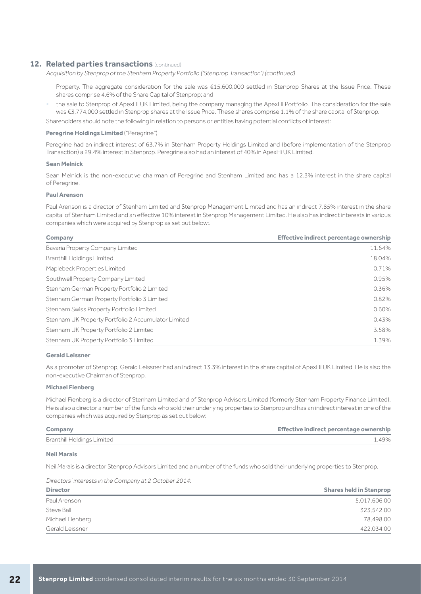## **12. Related parties transactions** (continued)

Acquisition by Stenprop of the Stenham Property Portfolio ('Stenprop Transaction') (continued)

Property. The aggregate consideration for the sale was €15,600,000 settled in Stenprop Shares at the Issue Price. These shares comprise 4.6% of the Share Capital of Stenprop; and

• the sale to Stenprop of ApexHi UK Limited, being the company managing the ApexHi Portfolio. The consideration for the sale was €3,774,000 settled in Stenprop shares at the Issue Price. These shares comprise 1.1% of the share capital of Stenprop.

Shareholders should note the following in relation to persons or entities having potential conflicts of interest:

#### **Peregrine Holdings Limited** ("Peregrine")

Peregrine had an indirect interest of 63.7% in Stenham Property Holdings Limited and (before implementation of the Stenprop Transaction) a 29.4% interest in Stenprop. Peregrine also had an interest of 40% in ApexHi UK Limited.

#### **Sean Melnick**

Sean Melnick is the non-executive chairman of Peregrine and Stenham Limited and has a 12.3% interest in the share capital of Peregrine.

#### **Paul Arenson**

Paul Arenson is a director of Stenham Limited and Stenprop Management Limited and has an indirect 7.85% interest in the share capital of Stenham Limited and an effective 10% interest in Stenprop Management Limited. He also has indirect interests in various companies which were acquired by Stenprop as set out below:.

## **Company Effective indirect percentage ownership**

| COLLIDGITY                                          | <u>Literative indirect percentage ownership</u> |
|-----------------------------------------------------|-------------------------------------------------|
| Bavaria Property Company Limited                    | 11.64%                                          |
| <b>Branthill Holdings Limited</b>                   | 18.04%                                          |
| Maplebeck Properties Limited                        | 0.71%                                           |
| Southwell Property Company Limited                  | 0.95%                                           |
| Stenham German Property Portfolio 2 Limited         | 0.36%                                           |
| Stenham German Property Portfolio 3 Limited         | 0.82%                                           |
| Stenham Swiss Property Portfolio Limited            | 0.60%                                           |
| Stenham UK Property Portfolio 2 Accumulator Limited | 0.43%                                           |
| Stenham UK Property Portfolio 2 Limited             | 3.58%                                           |
| Stenham UK Property Portfolio 3 Limited             | 1.39%                                           |

#### **Gerald Leissner**

As a promoter of Stenprop, Gerald Leissner had an indirect 13.3% interest in the share capital of ApexHi UK Limited. He is also the non-executive Chairman of Stenprop.

#### **Michael Fienberg**

Michael Fienberg is a director of Stenham Limited and of Stenprop Advisors Limited (formerly Stenham Property Finance Limited). He is also a director a number of the funds who sold their underlying properties to Stenprop and has an indirect interest in one of the companies which was acquired by Stenprop as set out below:

| Company                           | <b>Effective indirect percentage ownership</b> |
|-----------------------------------|------------------------------------------------|
| <b>Branthill Holdings Limited</b> | 1.49%                                          |

#### **Neil Marais**

Neil Marais is a director Stenprop Advisors Limited and a number of the funds who sold their underlying properties to Stenprop.

Directors' interests in the Company at 2 October 2014:

| <b>Director</b>  | <b>Shares held in Stenprop</b> |
|------------------|--------------------------------|
| Paul Arenson     | 5,017,606.00                   |
| Steve Ball       | 323,542.00                     |
| Michael Fienberg | 78,498.00                      |
| Gerald Leissner  | 422,034.00                     |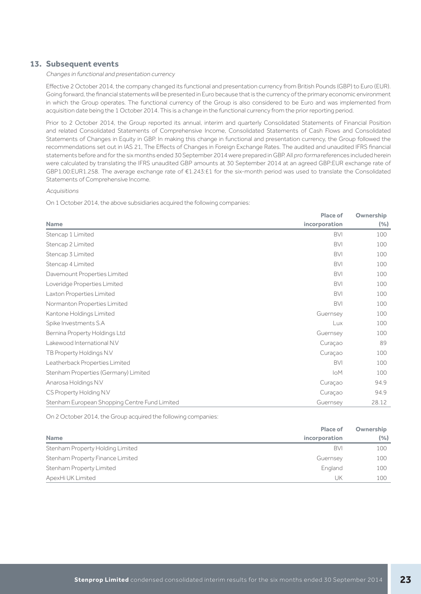## **13. Subsequent events**

#### Changes in functional and presentation currency

Effective 2 October 2014, the company changed its functional and presentation currency from British Pounds (GBP) to Euro (EUR). Going forward, the financial statements will be presented in Euro because that is the currency of the primary economic environment in which the Group operates. The functional currency of the Group is also considered to be Euro and was implemented from acquisition date being the 1 October 2014. This is a change in the functional currency from the prior reporting period.

Prior to 2 October 2014, the Group reported its annual, interim and quarterly Consolidated Statements of Financial Position and related Consolidated Statements of Comprehensive Income, Consolidated Statements of Cash Flows and Consolidated Statements of Changes in Equity in GBP. In making this change in functional and presentation currency, the Group followed the recommendations set out in IAS 21, The Effects of Changes in Foreign Exchange Rates. The audited and unaudited IFRS financial statements before and for the six months ended 30 September 2014 were prepared in GBP. All pro forma references included herein were calculated by translating the IFRS unaudited GBP amounts at 30 September 2014 at an agreed GBP:EUR exchange rate of GBP1.00:EUR1.258. The average exchange rate of €1.243:£1 for the six-month period was used to translate the Consolidated Statements of Comprehensive Income.

#### **Acquisitions**

On 1 October 2014, the above subsidiaries acquired the following companies:

| incorporation<br><b>Name</b><br><b>BVI</b><br>Stencap 1 Limited<br><b>BVI</b><br>Stencap 2 Limited<br><b>BVI</b><br>Stencap 3 Limited<br><b>BVI</b><br>Stencap 4 Limited<br><b>BVI</b><br>Davemount Properties Limited<br><b>BVI</b><br>Loveridge Properties Limited<br><b>BVI</b><br>Laxton Properties Limited<br><b>BVI</b><br>Normanton Properties Limited<br>Kantone Holdings Limited<br>Guernsey<br>Spike Investments S.A<br>Lux<br>Bernina Property Holdings Ltd<br>Guernsey<br>Lakewood International N.V<br>Curaçao<br>TB Property Holdings N.V<br>Curaçao | <b>Place of</b> | Ownership |
|--------------------------------------------------------------------------------------------------------------------------------------------------------------------------------------------------------------------------------------------------------------------------------------------------------------------------------------------------------------------------------------------------------------------------------------------------------------------------------------------------------------------------------------------------------------------|-----------------|-----------|
|                                                                                                                                                                                                                                                                                                                                                                                                                                                                                                                                                                    |                 | (%)       |
|                                                                                                                                                                                                                                                                                                                                                                                                                                                                                                                                                                    |                 | 100       |
|                                                                                                                                                                                                                                                                                                                                                                                                                                                                                                                                                                    |                 | 100       |
|                                                                                                                                                                                                                                                                                                                                                                                                                                                                                                                                                                    |                 | 100       |
|                                                                                                                                                                                                                                                                                                                                                                                                                                                                                                                                                                    |                 | 100       |
|                                                                                                                                                                                                                                                                                                                                                                                                                                                                                                                                                                    |                 | 100       |
|                                                                                                                                                                                                                                                                                                                                                                                                                                                                                                                                                                    |                 | 100       |
|                                                                                                                                                                                                                                                                                                                                                                                                                                                                                                                                                                    |                 | 100       |
|                                                                                                                                                                                                                                                                                                                                                                                                                                                                                                                                                                    |                 | 100       |
|                                                                                                                                                                                                                                                                                                                                                                                                                                                                                                                                                                    |                 | 100       |
|                                                                                                                                                                                                                                                                                                                                                                                                                                                                                                                                                                    |                 | 100       |
|                                                                                                                                                                                                                                                                                                                                                                                                                                                                                                                                                                    |                 | 100       |
|                                                                                                                                                                                                                                                                                                                                                                                                                                                                                                                                                                    |                 | 89        |
|                                                                                                                                                                                                                                                                                                                                                                                                                                                                                                                                                                    |                 | 100       |
| <b>BVI</b><br>Leatherback Properties Limited                                                                                                                                                                                                                                                                                                                                                                                                                                                                                                                       |                 | 100       |
| Stenham Properties (Germany) Limited<br>IoM                                                                                                                                                                                                                                                                                                                                                                                                                                                                                                                        |                 | 100       |
| Anarosa Holdings N.V<br>Curaçao                                                                                                                                                                                                                                                                                                                                                                                                                                                                                                                                    |                 | 94.9      |
| CS Property Holding N.V<br>Curaçao                                                                                                                                                                                                                                                                                                                                                                                                                                                                                                                                 |                 | 94.9      |
| Stenham European Shopping Centre Fund Limited<br>Guernsey                                                                                                                                                                                                                                                                                                                                                                                                                                                                                                          |                 | 28.12     |

On 2 October 2014, the Group acquired the following companies:

|                                  | <b>Place of</b> | Ownership |
|----------------------------------|-----------------|-----------|
| <b>Name</b>                      | incorporation   | (%)       |
| Stenham Property Holding Limited | <b>BVI</b>      | 100       |
| Stenham Property Finance Limited | Guernsey        | 100       |
| Stenham Property Limited         | England         | 100       |
| ApexHi UK Limited                | UΚ              | 100       |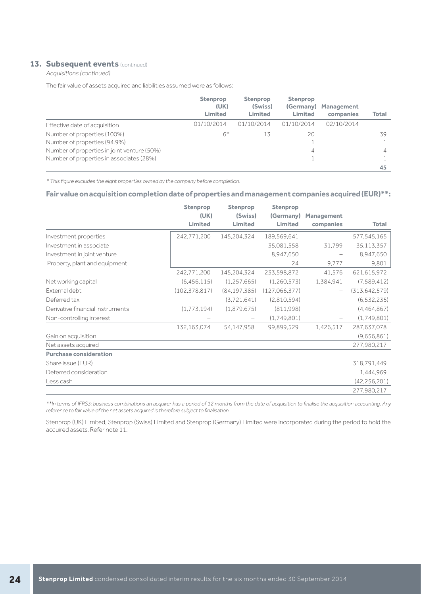### **13. Subsequent events (continued)**

Acquisitions (continued)

The fair value of assets acquired and liabilities assumed were as follows:

|                                             | <b>Stenprop</b><br>(UK)<br>Limited | <b>Stenprop</b><br>(Swiss)<br>Limited | <b>Stenprop</b><br>(Germany)<br><b>Limited</b> | <b>Management</b><br>companies | <b>Total</b> |
|---------------------------------------------|------------------------------------|---------------------------------------|------------------------------------------------|--------------------------------|--------------|
| Effective date of acquisition               | 01/10/2014                         | 01/10/2014                            | 01/10/2014                                     | 02/10/2014                     |              |
| Number of properties (100%)                 | $6*$                               | 13                                    | 20                                             |                                | 39           |
| Number of properties (94.9%)                |                                    |                                       |                                                |                                |              |
| Number of properties in joint venture (50%) |                                    |                                       | 4                                              |                                | 4            |
| Number of properties in associates (28%)    |                                    |                                       |                                                |                                |              |
|                                             |                                    |                                       |                                                |                                | 45           |

\* This figure excludes the eight properties owned by the company before completion.

## **Fair value on acquisition completion date of properties and management companies acquired (EUR)\*\*:**

|                                  | <b>Stenprop</b> | <b>Stenprop</b> | <b>Stenprop</b> |                          |                 |
|----------------------------------|-----------------|-----------------|-----------------|--------------------------|-----------------|
|                                  | (UK)            | (Swiss)         | (Germany)       | <b>Management</b>        |                 |
|                                  | <b>Limited</b>  | Limited         | Limited         | companies                | <b>Total</b>    |
| Investment properties            | 242,771,200     | 145,204,324     | 189,569,641     |                          | 577,545,165     |
| Investment in associate          |                 |                 | 35,081,558      | 31,799                   | 35,113,357      |
| Investment in joint venture      |                 |                 | 8,947,650       |                          | 8,947,650       |
| Property, plant and equipment    |                 |                 | 24              | 9.777                    | 9.801           |
|                                  | 242,771,200     | 145,204,324     | 233,598,872     | 41,576                   | 621,615,972     |
| Net working capital              | (6, 456, 115)   | (1, 257, 665)   | (1,260,573)     | 1,384,941                | (7,589,412)     |
| External debt                    | (102, 378, 817) | (84, 197, 385)  | (127,066,377)   | $\overline{\phantom{m}}$ | (313, 642, 579) |
| Deferred tax                     |                 | (3.721.641)     | (2,810,594)     | —                        | (6, 532, 235)   |
| Derivative financial instruments | (1,773,194)     | (1,879,675)     | (811,998)       |                          | (4,464,867)     |
| Non-controlling interest         |                 |                 | (1,749,801)     |                          | (1,749,801)     |
|                                  | 132,163,074     | 54,147,958      | 99.899.529      | 1,426,517                | 287,637,078     |
| Gain on acquisition              |                 |                 |                 |                          | (9,656,861)     |
| Net assets acquired              |                 |                 |                 |                          | 277,980,217     |
| <b>Purchase consideration</b>    |                 |                 |                 |                          |                 |
| Share issue (EUR)                |                 |                 |                 |                          | 318.791.449     |
| Deferred consideration           |                 |                 |                 |                          | 1,444,969       |
| Less cash                        |                 |                 |                 |                          | (42, 256, 201)  |
|                                  |                 |                 |                 |                          | 277,980,217     |

\*\*In terms of IFRS3: business combinations an acquirer has a period of 12 months from the date of acquisition to finalise the acquisition accounting. Any reference to fair value of the net assets acquired is therefore subject to finalisation.

Stenprop (UK) Limited, Stenprop (Swiss) Limited and Stenprop (Germany) Limited were incorporated during the period to hold the acquired assets. Refer note 11.